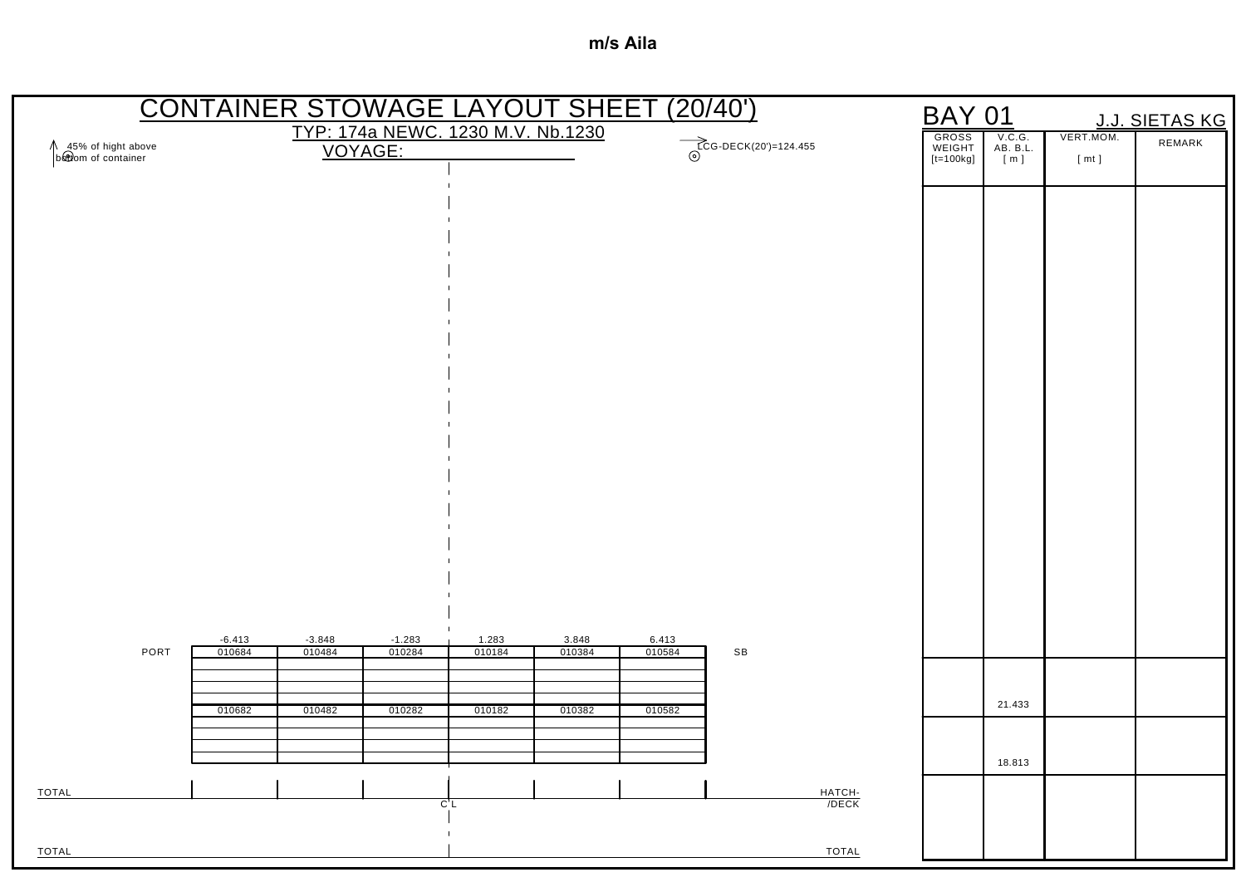|                                             | <b>CONTAINER STOWAGE LAYOUT SHEET (20/40')</b> |                    |                                   |                 |                 |                 |                         | <b>BAY 01</b>   |                    |            | J.J. SIETAS KG |
|---------------------------------------------|------------------------------------------------|--------------------|-----------------------------------|-----------------|-----------------|-----------------|-------------------------|-----------------|--------------------|------------|----------------|
| ↑ 45% of hight above<br>b&twom of container |                                                | VOYAGE:            | TYP: 174a NEWC. 1230 M.V. Nb.1230 |                 |                 |                 | $TCG-DECK(20')=124.455$ | GROSS<br>WEIGHT | V.C.G.<br>AB. B.L. | VERT.MOM.  | REMARK         |
|                                             |                                                |                    |                                   |                 |                 |                 |                         | $[t=100kg]$     | [m]                | $[$ mt $]$ |                |
|                                             |                                                |                    |                                   |                 |                 |                 |                         |                 |                    |            |                |
|                                             |                                                |                    |                                   |                 |                 |                 |                         |                 |                    |            |                |
|                                             |                                                |                    |                                   |                 |                 |                 |                         |                 |                    |            |                |
|                                             |                                                |                    |                                   |                 |                 |                 |                         |                 |                    |            |                |
|                                             |                                                |                    |                                   |                 |                 |                 |                         |                 |                    |            |                |
|                                             |                                                |                    |                                   |                 |                 |                 |                         |                 |                    |            |                |
|                                             |                                                |                    |                                   |                 |                 |                 |                         |                 |                    |            |                |
|                                             |                                                |                    |                                   |                 |                 |                 |                         |                 |                    |            |                |
|                                             |                                                |                    |                                   |                 |                 |                 |                         |                 |                    |            |                |
|                                             |                                                |                    |                                   |                 |                 |                 |                         |                 |                    |            |                |
|                                             |                                                |                    |                                   |                 |                 |                 |                         |                 |                    |            |                |
|                                             |                                                |                    |                                   |                 |                 |                 |                         |                 |                    |            |                |
|                                             |                                                |                    |                                   |                 |                 |                 |                         |                 |                    |            |                |
|                                             |                                                |                    |                                   |                 |                 |                 |                         |                 |                    |            |                |
|                                             |                                                |                    |                                   |                 |                 |                 |                         |                 |                    |            |                |
| PORT                                        | $-6.413$<br>010684                             | $-3.848$<br>010484 | $-1.283$<br>010284                | 1.283<br>010184 | 3.848<br>010384 | 6.413<br>010584 | $\mathsf{SB}$           |                 |                    |            |                |
|                                             |                                                |                    |                                   |                 |                 |                 |                         |                 |                    |            |                |
|                                             | 010682                                         | 010482             | 010282                            | 010182          | 010382          | 010582          |                         |                 | 21.433             |            |                |
|                                             |                                                |                    |                                   |                 |                 |                 |                         |                 |                    |            |                |
|                                             |                                                |                    |                                   |                 |                 |                 |                         |                 | 18.813             |            |                |
| <b>TOTAL</b>                                |                                                |                    | $\overline{C}$ L                  |                 |                 |                 | HATCH-<br>/DECK         |                 |                    |            |                |
| <b>TOTAL</b>                                |                                                |                    | $\mathbf{I}$                      |                 |                 |                 | <b>TOTAL</b>            |                 |                    |            |                |
|                                             |                                                |                    |                                   |                 |                 |                 |                         |                 |                    |            |                |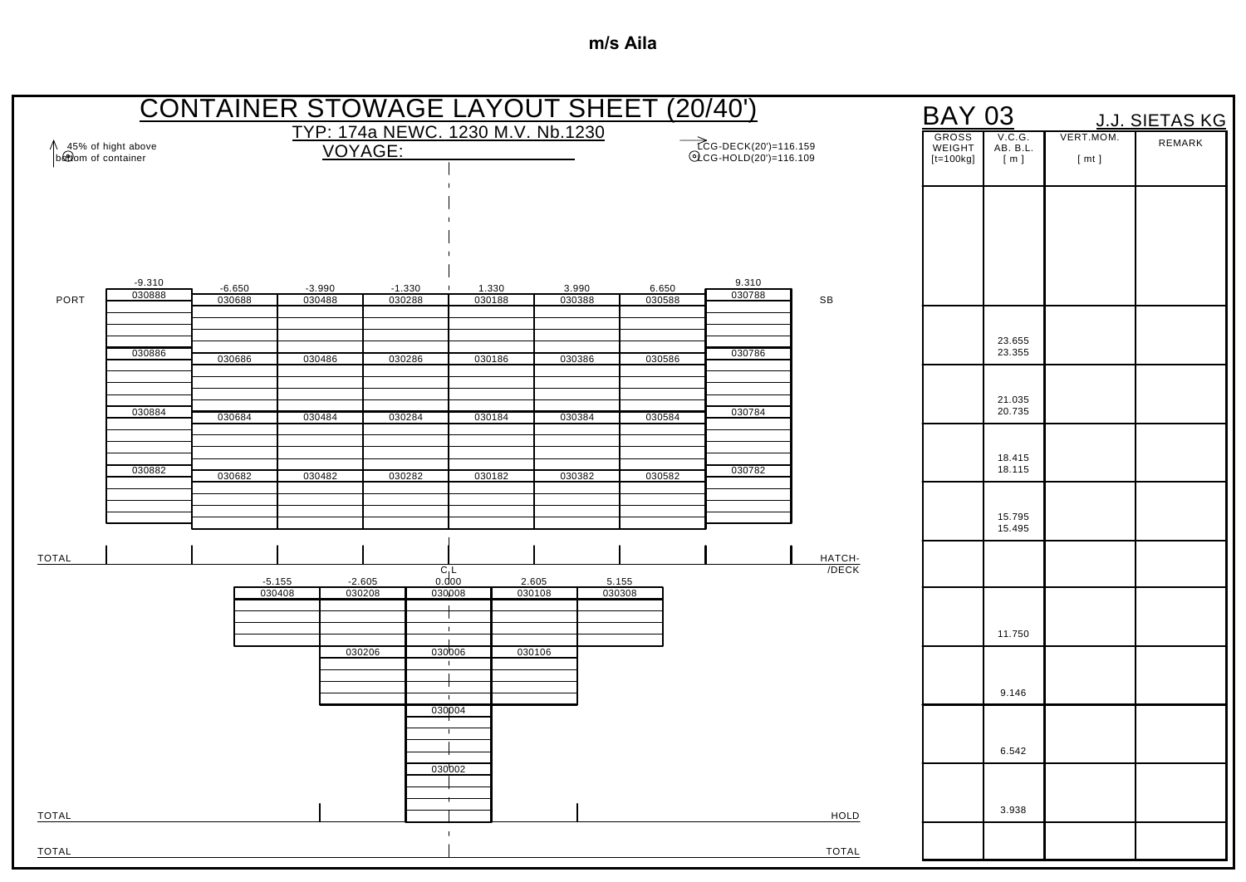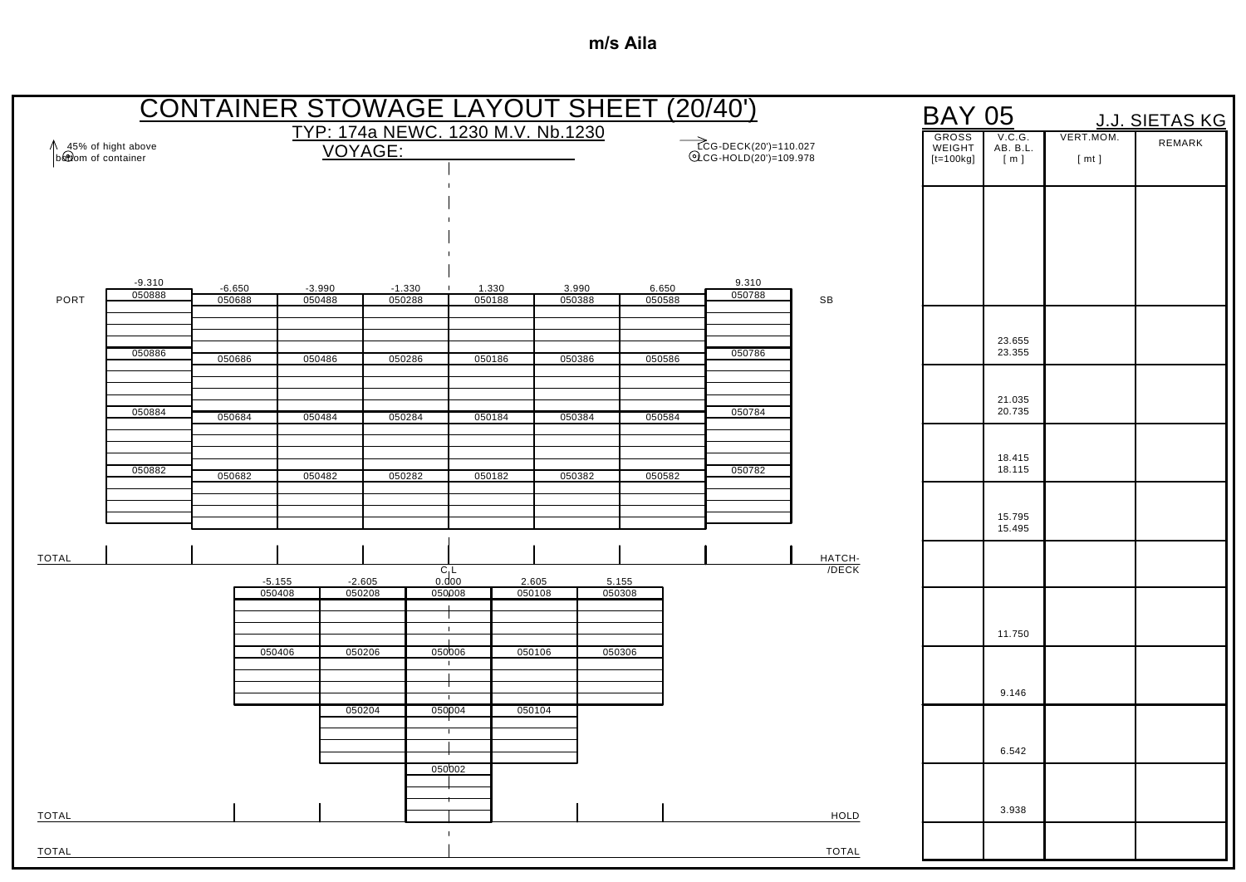|                                           |                    |                    |                    |                    |                                   |                        |                 | <b>CONTAINER STOWAGE LAYOUT SHEET (20/40')</b> |                 |                                                 |                 | <b>BAY 05</b>                         |                           |                   | <b>J.J. SIETAS KG</b> |
|-------------------------------------------|--------------------|--------------------|--------------------|--------------------|-----------------------------------|------------------------|-----------------|------------------------------------------------|-----------------|-------------------------------------------------|-----------------|---------------------------------------|---------------------------|-------------------|-----------------------|
| 45% of hight above<br>bottom of container |                    |                    |                    | VOYAGE:            | TYP: 174a NEWC. 1230 M.V. Nb.1230 |                        |                 |                                                |                 | ECG-DECK(20')=110.027<br>©LCG-HOLD(20')=109.978 |                 | <b>GROSS</b><br>WEIGHT<br>$[t=100kg]$ | V.C.G.<br>AB. B.L.<br>[m] | VERT.MOM.<br>[mt] | REMARK                |
|                                           |                    |                    |                    |                    |                                   |                        |                 |                                                |                 |                                                 |                 |                                       |                           |                   |                       |
|                                           |                    |                    |                    |                    |                                   |                        |                 |                                                |                 |                                                 |                 |                                       |                           |                   |                       |
|                                           |                    |                    |                    |                    |                                   |                        |                 |                                                |                 |                                                 |                 |                                       |                           |                   |                       |
| PORT                                      | $-9.310$<br>050888 | $-6.650$<br>050688 |                    | $-3.990$<br>050488 | $-1.330$<br>050288                | 1.330<br>050188        |                 | 3.990<br>050388                                | 6.650<br>050588 | 9.310<br>050788                                 | SB              |                                       |                           |                   |                       |
|                                           |                    |                    |                    |                    |                                   |                        |                 |                                                |                 |                                                 |                 |                                       | 23.655                    |                   |                       |
|                                           | 050886             | 050686             |                    | 050486             | 050286                            | 050186                 |                 | 050386                                         | 050586          | 050786                                          |                 |                                       | 23.355                    |                   |                       |
|                                           | 050884             | 050684             |                    | 050484             | 050284                            | 050184                 |                 | 050384                                         | 050584          | 050784                                          |                 |                                       | 21.035<br>20.735          |                   |                       |
|                                           |                    |                    |                    |                    |                                   |                        |                 |                                                |                 |                                                 |                 |                                       | 18.415                    |                   |                       |
|                                           | 050882             | 050682             |                    | 050482             | 050282                            | 050182                 |                 | 050382                                         | 050582          | 050782                                          |                 |                                       | 18.115                    |                   |                       |
|                                           |                    |                    |                    |                    |                                   |                        |                 |                                                |                 |                                                 |                 |                                       | 15.795<br>15.495          |                   |                       |
| <b>TOTAL</b>                              |                    |                    |                    |                    |                                   | $C_1$                  |                 |                                                |                 |                                                 | HATCH-<br>/DECK |                                       |                           |                   |                       |
|                                           |                    |                    | $-5.155$<br>050408 | $-2.605$<br>050208 |                                   | 0.000<br>050008        | 2.605<br>050108 |                                                | 5.155<br>050308 |                                                 |                 |                                       |                           |                   |                       |
|                                           |                    |                    |                    |                    |                                   | $\mathbf{1}$           |                 |                                                |                 |                                                 |                 |                                       | 11.750                    |                   |                       |
|                                           |                    |                    | 050406             | 050206             |                                   | 050006                 | 050106          |                                                | 050306          |                                                 |                 |                                       |                           |                   |                       |
|                                           |                    |                    |                    | 050204             |                                   | $\mathbf{I}$<br>050004 | 050104          |                                                |                 |                                                 |                 |                                       | 9.146                     |                   |                       |
|                                           |                    |                    |                    |                    |                                   |                        |                 |                                                |                 |                                                 |                 |                                       | 6.542                     |                   |                       |
|                                           |                    |                    |                    |                    |                                   | 050002                 |                 |                                                |                 |                                                 |                 |                                       |                           |                   |                       |
| <b>TOTAL</b>                              |                    |                    |                    |                    |                                   | $\mathbf{I}$           |                 |                                                |                 |                                                 | HOLD            |                                       | 3.938                     |                   |                       |
| TOTAL                                     |                    |                    |                    |                    |                                   |                        |                 |                                                |                 |                                                 | <b>TOTAL</b>    |                                       |                           |                   |                       |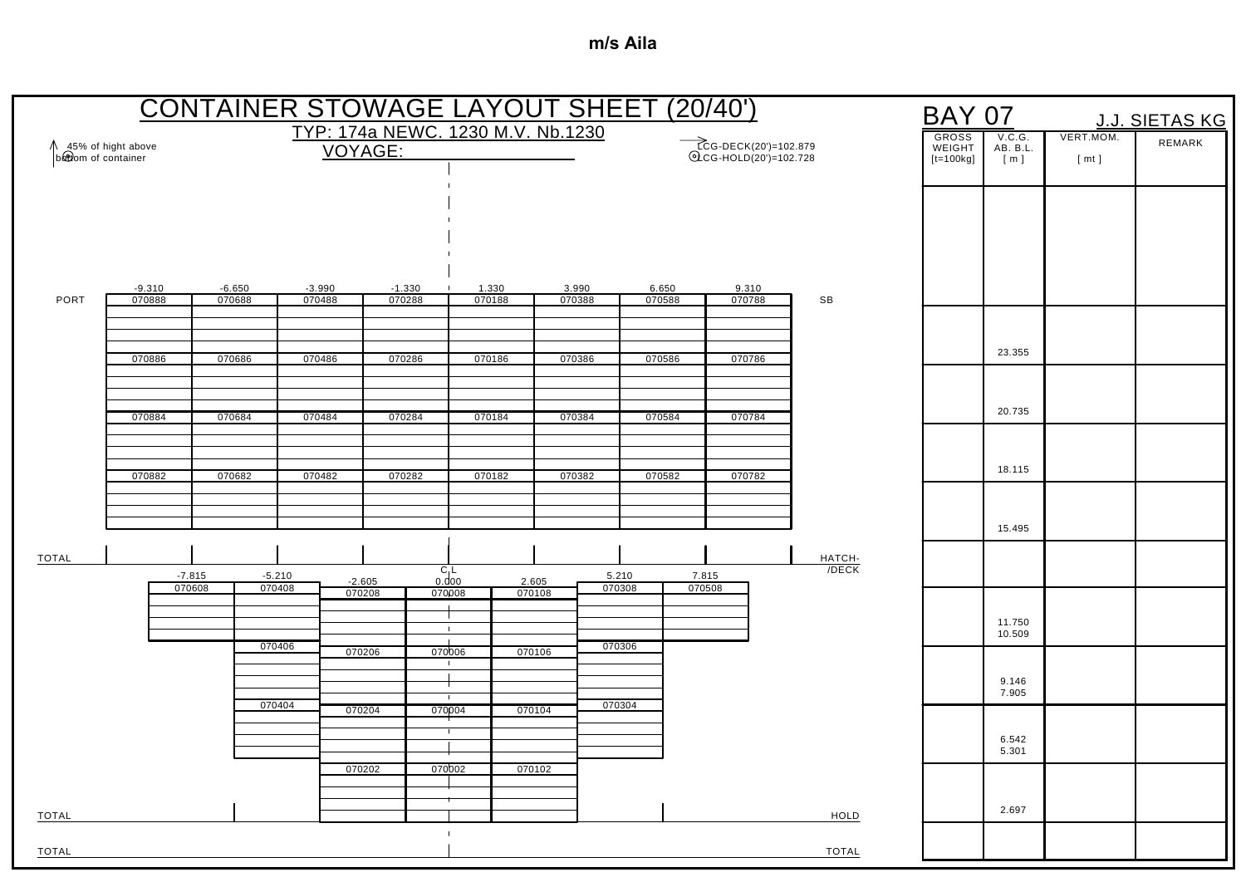|                                           |          |          |          |                    |          |                                   | <b>CONTAINER STOWAGE LAYOUT SHEET (20/40')</b> |        |                                                |                 | <b>BAY 07</b>                         |                           |                   | <b>J.J. SIETAS KG</b> |
|-------------------------------------------|----------|----------|----------|--------------------|----------|-----------------------------------|------------------------------------------------|--------|------------------------------------------------|-----------------|---------------------------------------|---------------------------|-------------------|-----------------------|
| 45% of hight above<br>bottom of container |          |          |          | VOYAGE:            |          | TYP: 174a NEWC. 1230 M.V. Nb.1230 |                                                |        | ECG-DECK(20')=102.879<br>QCG-HOLD(20')=102.728 |                 | <b>GROSS</b><br>WEIGHT<br>$[t=100kg]$ | V.C.G.<br>AB. B.L.<br>[m] | VERT.MOM.<br>[mt] | REMARK                |
|                                           |          |          |          |                    |          |                                   |                                                |        |                                                |                 |                                       |                           |                   |                       |
|                                           |          |          |          |                    |          |                                   |                                                |        |                                                |                 |                                       |                           |                   |                       |
|                                           |          |          |          |                    |          |                                   |                                                |        |                                                |                 |                                       |                           |                   |                       |
|                                           | $-9.310$ | $-6.650$ |          | $-3.990$           | $-1.330$ | 1.330                             | 3.990                                          | 6.650  | 9.310                                          |                 |                                       |                           |                   |                       |
| PORT                                      | 070888   | 070688   |          | 070488             | 070288   | 070188                            | 070388                                         | 070588 | 070788                                         | SB              |                                       |                           |                   |                       |
|                                           |          |          |          |                    |          |                                   |                                                |        |                                                |                 |                                       | 23.355                    |                   |                       |
|                                           | 070886   | 070686   |          | 070486             | 070286   | 070186                            | 070386                                         | 070586 | 070786                                         |                 |                                       |                           |                   |                       |
|                                           | 070884   | 070684   |          | 070484             | 070284   | 070184                            | 070384                                         | 070584 | 070784                                         |                 |                                       | 20.735                    |                   |                       |
|                                           |          |          |          |                    |          |                                   |                                                |        |                                                |                 |                                       |                           |                   |                       |
|                                           | 070882   | 070682   |          | 070482             | 070282   | 070182                            | 070382                                         | 070582 | 070782                                         |                 |                                       | 18.115                    |                   |                       |
|                                           |          |          |          |                    |          |                                   |                                                |        |                                                |                 |                                       |                           |                   |                       |
|                                           |          |          |          |                    |          |                                   |                                                |        |                                                |                 |                                       | 15.495                    |                   |                       |
| <b>TOTAL</b>                              |          | $-7.815$ | $-5.210$ |                    |          | $C_1$                             |                                                | 5.210  | 7.815                                          | HATCH-<br>/DECK |                                       |                           |                   |                       |
|                                           |          | 070608   | 070408   | $-2.605$<br>070208 |          | 0.000<br>070008                   | 2.605<br>070108                                | 070308 | 070508                                         |                 |                                       |                           |                   |                       |
|                                           |          |          |          |                    |          | $\mathbf{1}$                      |                                                |        |                                                |                 |                                       | 11.750<br>10.509          |                   |                       |
|                                           |          |          | 070406   | 070206             |          | 070006                            | 070106                                         | 070306 |                                                |                 |                                       |                           |                   |                       |
|                                           |          |          | 070404   | 070204             |          | $\blacksquare$<br>070004          | 070104                                         | 070304 |                                                |                 |                                       | 9.146<br>7.905            |                   |                       |
|                                           |          |          |          |                    |          |                                   |                                                |        |                                                |                 |                                       | 6.542                     |                   |                       |
|                                           |          |          |          | 070202             |          | 070002                            | 070102                                         |        |                                                |                 |                                       | 5.301                     |                   |                       |
|                                           |          |          |          |                    |          |                                   |                                                |        |                                                |                 |                                       |                           |                   |                       |
| TOTAL                                     |          |          |          |                    |          | $\mathbf{I}$                      |                                                |        |                                                | HOLD            |                                       | 2.697                     |                   |                       |
| TOTAL                                     |          |          |          |                    |          |                                   |                                                |        |                                                | <b>TOTAL</b>    |                                       |                           |                   |                       |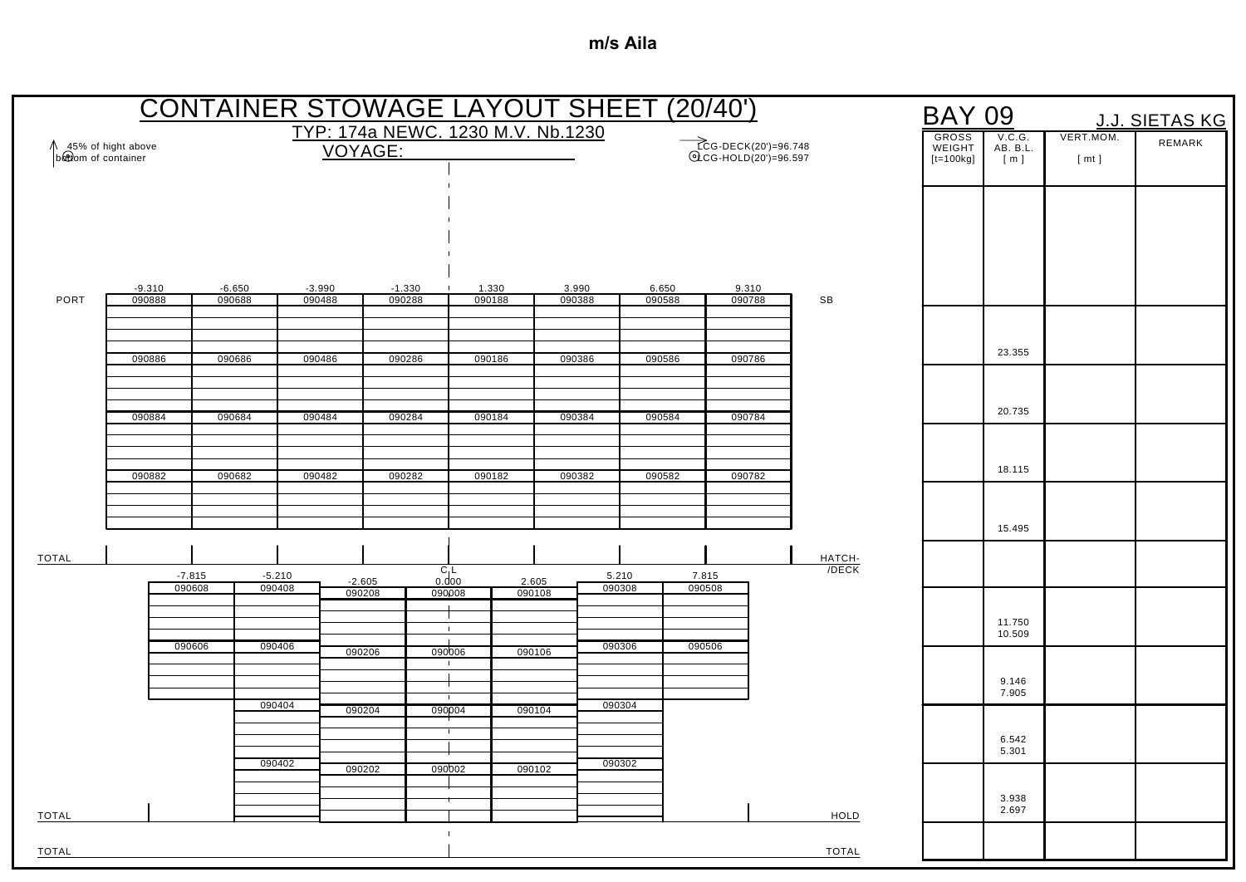|                                           |                    |                    |                    |                    |                                   |                  | <b>CONTAINER STOWAGE LAYOUT SHEET (20/40')</b> |                 |                 |                                               |                 | <b>BAY 09</b>          |                    |           | J.J. SIETAS KG |
|-------------------------------------------|--------------------|--------------------|--------------------|--------------------|-----------------------------------|------------------|------------------------------------------------|-----------------|-----------------|-----------------------------------------------|-----------------|------------------------|--------------------|-----------|----------------|
| 45% of hight above<br>bottom of container |                    |                    |                    | VOYAGE:            | TYP: 174a NEWC. 1230 M.V. Nb.1230 |                  |                                                |                 |                 | ECG-DECK(20')=96.748<br>©LCG-HOLD(20')=96.597 |                 | <b>GROSS</b><br>WEIGHT | V.C.G.<br>AB. B.L. | VERT.MOM. | REMARK         |
|                                           |                    |                    |                    |                    |                                   |                  |                                                |                 |                 |                                               |                 | $[t=100kg]$            | [ m ]              | [mt]      |                |
|                                           |                    |                    |                    |                    |                                   |                  |                                                |                 |                 |                                               |                 |                        |                    |           |                |
|                                           |                    |                    |                    |                    |                                   |                  |                                                |                 |                 |                                               |                 |                        |                    |           |                |
|                                           |                    |                    |                    |                    |                                   |                  |                                                |                 |                 |                                               |                 |                        |                    |           |                |
| PORT                                      | $-9.310$<br>090888 | $-6.650$<br>090688 |                    | $-3.990$<br>090488 | $-1.330$<br>090288                | 1.330<br>090188  | 3.990<br>090388                                | 6.650<br>090588 |                 | 9.310<br>090788                               | SB              |                        |                    |           |                |
|                                           |                    |                    |                    |                    |                                   |                  |                                                |                 |                 |                                               |                 |                        |                    |           |                |
|                                           | 090886             | 090686             |                    | 090486             | 090286                            | 090186           | 090386                                         | 090586          |                 | 090786                                        |                 |                        | 23.355             |           |                |
|                                           |                    |                    |                    |                    |                                   |                  |                                                |                 |                 |                                               |                 |                        |                    |           |                |
|                                           | 090884             | 090684             |                    | 090484             | 090284                            | 090184           | 090384                                         | 090584          |                 | 090784                                        |                 |                        | 20.735             |           |                |
|                                           |                    |                    |                    |                    |                                   |                  |                                                |                 |                 |                                               |                 |                        |                    |           |                |
|                                           | 090882             | 090682             |                    | 090482             | 090282                            | 090182           | 090382                                         | 090582          |                 | 090782                                        |                 |                        | 18.115             |           |                |
|                                           |                    |                    |                    |                    |                                   |                  |                                                |                 |                 |                                               |                 |                        |                    |           |                |
|                                           |                    |                    |                    |                    |                                   |                  |                                                |                 |                 |                                               |                 |                        | 15.495             |           |                |
| <b>TOTAL</b>                              |                    |                    |                    |                    |                                   | $C_1L$           |                                                |                 |                 |                                               | HATCH-<br>/DECK |                        |                    |           |                |
|                                           |                    | $-7.815$<br>090608 | $-5.210$<br>090408 | $-2.605$<br>090208 |                                   | 0.000<br>090008  | 2.605<br>090108                                | 5.210<br>090308 | 7.815<br>090508 |                                               |                 |                        |                    |           |                |
|                                           |                    |                    |                    |                    |                                   | $\mathbf{1}$     |                                                |                 |                 |                                               |                 |                        | 11.750<br>10.509   |           |                |
|                                           |                    | 090606             | 090406             | 090206             |                                   | $\sim$<br>090006 | 090106                                         | 090306          | 090506          |                                               |                 |                        |                    |           |                |
|                                           |                    |                    |                    |                    |                                   |                  |                                                |                 |                 |                                               |                 |                        | 9.146<br>7.905     |           |                |
|                                           |                    |                    | 090404             | 090204             | 090004                            | $\mathbf{1}$     | 090104                                         | 090304          |                 |                                               |                 |                        |                    |           |                |
|                                           |                    |                    |                    |                    |                                   |                  |                                                |                 |                 |                                               |                 |                        | 6.542<br>5.301     |           |                |
|                                           |                    |                    | 090402             | 090202             |                                   | 090002           | 090102                                         | 090302          |                 |                                               |                 |                        |                    |           |                |
| <b>TOTAL</b>                              |                    |                    |                    |                    |                                   |                  |                                                |                 |                 |                                               | <b>HOLD</b>     |                        | 3.938<br>2.697     |           |                |
|                                           |                    |                    |                    |                    |                                   | $\mathbf{I}$     |                                                |                 |                 |                                               |                 |                        |                    |           |                |
| TOTAL                                     |                    |                    |                    |                    |                                   |                  |                                                |                 |                 |                                               | <b>TOTAL</b>    |                        |                    |           |                |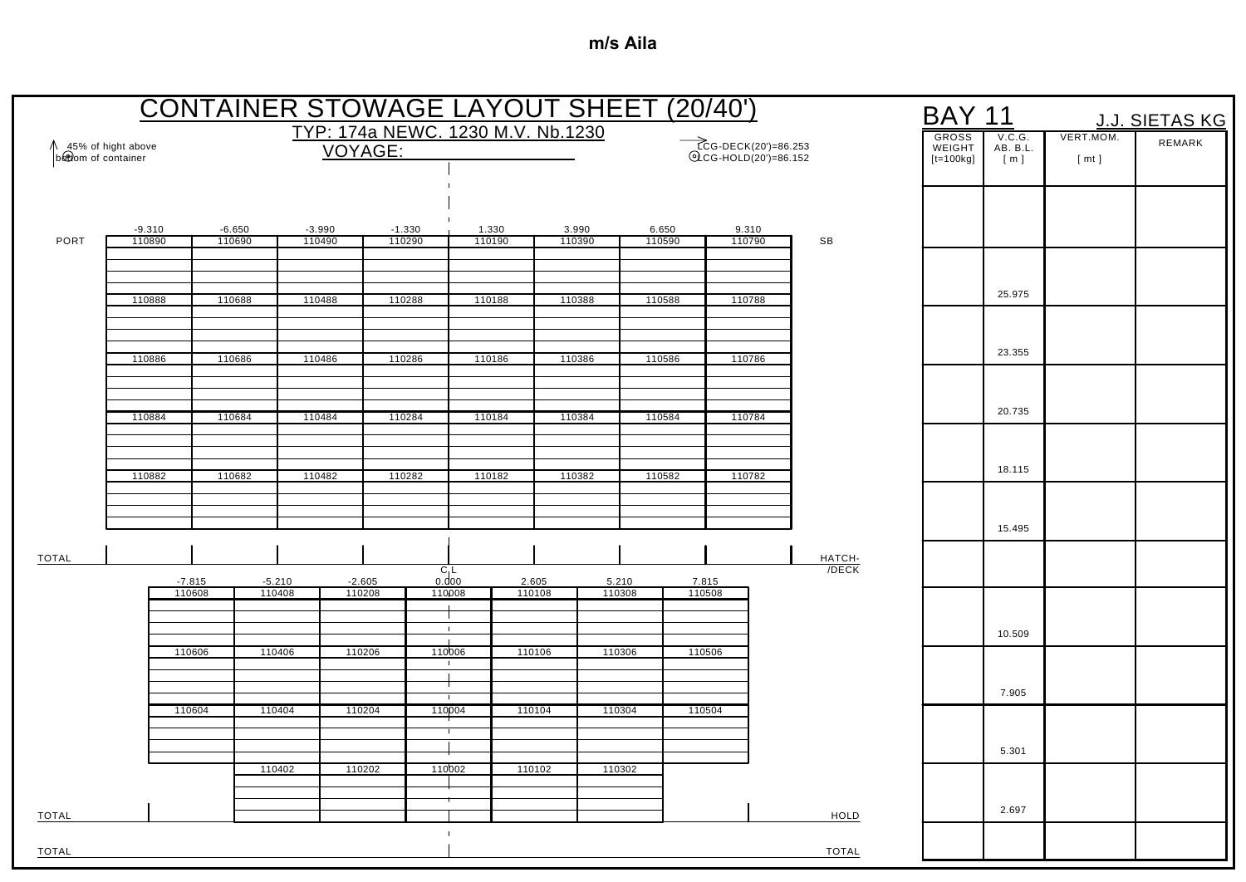|                                           |                    |                    |          |                    | <b>CONTAINER STOWAGE LAYOUT SHEET (20/40')</b> |                        |        |                 |        |                 |                                              |                    | <b>BAY 11</b>                         |                           |                   | J.J. SIETAS KG |
|-------------------------------------------|--------------------|--------------------|----------|--------------------|------------------------------------------------|------------------------|--------|-----------------|--------|-----------------|----------------------------------------------|--------------------|---------------------------------------|---------------------------|-------------------|----------------|
| 45% of hight above<br>bottom of container |                    |                    |          |                    | TYP: 174a NEWC. 1230 M.V. Nb.1230<br>VOYAGE:   |                        |        |                 |        |                 | TCG-DECK(20')=86.253<br>QCG-HOLD(20')=86.152 |                    | <b>GROSS</b><br>WEIGHT<br>$[t=100kg]$ | V.C.G.<br>AB. B.L.<br>[m] | VERT.MOM.<br>[mt] | REMARK         |
|                                           |                    |                    |          |                    |                                                |                        |        |                 |        |                 |                                              |                    |                                       |                           |                   |                |
| PORT                                      | $-9.310$<br>110890 | $-6.650$<br>110690 |          | $-3.990$<br>110490 | $-1.330$<br>110290                             | 1.330<br>110190        |        | 3.990<br>110390 |        | 6.650<br>110590 | 9.310<br>110790                              | SB                 |                                       |                           |                   |                |
|                                           | 110888             | 110688             |          | 110488             | 110288                                         |                        | 110188 | 110388          |        | 110588          | 110788                                       |                    |                                       | 25.975                    |                   |                |
|                                           |                    |                    |          |                    |                                                |                        |        |                 |        |                 |                                              |                    |                                       |                           |                   |                |
|                                           | 110886             | 110686             |          | 110486             | 110286                                         | 110186                 |        | 110386          |        | 110586          | 110786                                       |                    |                                       | 23.355                    |                   |                |
|                                           | 110884             | 110684             |          | 110484             | 110284                                         | 110184                 |        | 110384          |        | 110584          | 110784                                       |                    |                                       | 20.735                    |                   |                |
|                                           |                    |                    |          |                    |                                                |                        |        |                 |        |                 |                                              |                    |                                       | 18.115                    |                   |                |
|                                           | 110882             | 110682             |          | 110482             | 110282                                         | 110182                 |        | 110382          |        | 110582          | 110782                                       |                    |                                       |                           |                   |                |
|                                           |                    |                    |          |                    |                                                |                        |        |                 |        |                 |                                              |                    |                                       | 15.495                    |                   |                |
| <b>TOTAL</b>                              |                    | $-7.815$           | $-5.210$ | $-2.605$           |                                                | $C_1$<br>0.000         | 2.605  |                 | 5.210  | 7.815           |                                              | HATCH-<br>$/$ DECK |                                       |                           |                   |                |
|                                           |                    | 110608             | 110408   | 110208             |                                                | 110008                 | 110108 |                 | 110308 | 110508          |                                              |                    |                                       |                           |                   |                |
|                                           |                    | 110606             | 110406   | 110206             |                                                | $\pm$<br>110006        | 110106 |                 | 110306 | 110506          |                                              |                    |                                       | 10.509                    |                   |                |
|                                           |                    |                    |          |                    |                                                |                        |        |                 |        |                 |                                              |                    |                                       |                           |                   |                |
|                                           |                    | 110604             | 110404   | 110204             |                                                | $\mathbf{I}$<br>110004 | 110104 |                 | 110304 | 110504          |                                              |                    |                                       | 7.905                     |                   |                |
|                                           |                    |                    |          |                    |                                                |                        |        |                 |        |                 |                                              |                    |                                       | 5.301                     |                   |                |
|                                           |                    |                    | 110402   | 110202             |                                                | 110002                 | 110102 |                 | 110302 |                 |                                              |                    |                                       |                           |                   |                |
| <b>TOTAL</b>                              |                    |                    |          |                    |                                                |                        |        |                 |        |                 |                                              | HOLD               |                                       | 2.697                     |                   |                |
| <b>TOTAL</b>                              |                    |                    |          |                    |                                                |                        |        |                 |        |                 |                                              | <b>TOTAL</b>       |                                       |                           |                   |                |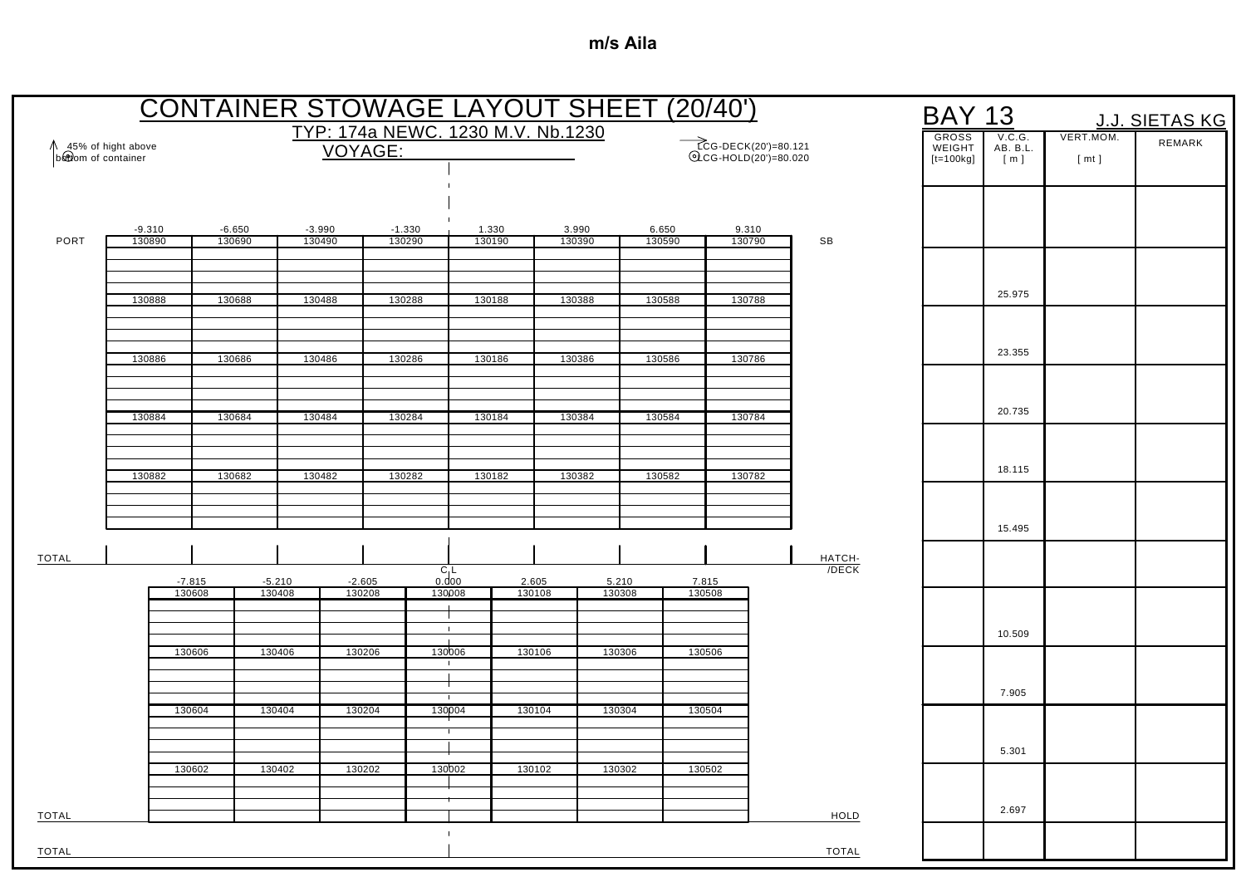|                                             |          |          | <b>CONTAINER STOWAGE LAYOUT SHEET (20/40')</b> |                    |          |                                   |                 |        |                 |                 |                                               |              | <b>BAY 13</b>                         |                           |                   | J.J. SIETAS KG |
|---------------------------------------------|----------|----------|------------------------------------------------|--------------------|----------|-----------------------------------|-----------------|--------|-----------------|-----------------|-----------------------------------------------|--------------|---------------------------------------|---------------------------|-------------------|----------------|
| ↑ 45% of hight above<br>b&twom of container |          |          |                                                | VOYAGE:            |          | TYP: 174a NEWC. 1230 M.V. Nb.1230 |                 |        |                 |                 | ECG-DECK(20')=80.121<br>©LCG-HOLD(20')=80.020 |              | <b>GROSS</b><br>WEIGHT<br>$[t=100kg]$ | V.C.G.<br>AB. B.L.<br>[m] | VERT.MOM.<br>[mt] | REMARK         |
|                                             |          |          |                                                |                    |          |                                   |                 |        |                 |                 |                                               |              |                                       |                           |                   |                |
|                                             | $-9.310$ | $-6.650$ |                                                | $-3.990$           | $-1.330$ |                                   | 1.330           | 3.990  |                 | 6.650           | 9.310                                         |              |                                       |                           |                   |                |
| PORT                                        | 130890   | 130690   |                                                | 130490             | 130290   |                                   | 130190          | 130390 |                 | 130590          | 130790                                        | SB           |                                       |                           |                   |                |
|                                             | 130888   | 130688   |                                                | 130488             | 130288   |                                   | 130188          | 130388 |                 | 130588          | 130788                                        |              |                                       | 25.975                    |                   |                |
|                                             |          |          |                                                |                    |          |                                   |                 |        |                 |                 |                                               |              |                                       |                           |                   |                |
|                                             | 130886   | 130686   |                                                | 130486             | 130286   |                                   | 130186          | 130386 |                 | 130586          | 130786                                        |              |                                       | 23.355                    |                   |                |
|                                             |          |          |                                                |                    |          |                                   |                 |        |                 |                 |                                               |              |                                       | 20.735                    |                   |                |
|                                             | 130884   | 130684   |                                                | 130484             | 130284   |                                   | 130184          | 130384 |                 | 130584          | 130784                                        |              |                                       |                           |                   |                |
|                                             | 130882   | 130682   |                                                | 130482             | 130282   |                                   | 130182          | 130382 |                 | 130582          | 130782                                        |              |                                       | 18.115                    |                   |                |
|                                             |          |          |                                                |                    |          |                                   |                 |        |                 |                 |                                               |              |                                       |                           |                   |                |
| <b>TOTAL</b>                                |          |          |                                                |                    |          |                                   |                 |        |                 |                 |                                               | HATCH-       |                                       | 15.495                    |                   |                |
|                                             | 130608   | $-7.815$ | $-5.210$<br>130408                             | $-2.605$<br>130208 |          | $C_1$<br>0.000<br>130008          | 2.605<br>130108 |        | 5.210<br>130308 | 7.815<br>130508 |                                               | $/$ DECK     |                                       |                           |                   |                |
|                                             |          |          |                                                |                    |          | $\mathbf{1}$                      |                 |        |                 |                 |                                               |              |                                       | 10.509                    |                   |                |
|                                             | 130606   |          | 130406                                         | 130206             |          | 130006<br>$\mathbf{I}$            | 130106          |        | 130306          | 130506          |                                               |              |                                       |                           |                   |                |
|                                             |          |          |                                                |                    |          | $\mathbf{I}$                      |                 |        |                 |                 |                                               |              |                                       | 7.905                     |                   |                |
|                                             | 130604   |          | 130404                                         | 130204             |          | 130004                            | 130104          |        | 130304          | 130504          |                                               |              |                                       |                           |                   |                |
|                                             | 130602   |          | 130402                                         | 130202             |          | 130002                            | 130102          |        | 130302          | 130502          |                                               |              |                                       | 5.301                     |                   |                |
| <b>TOTAL</b>                                |          |          |                                                |                    |          |                                   |                 |        |                 |                 |                                               | HOLD         |                                       | 2.697                     |                   |                |
| TOTAL                                       |          |          |                                                |                    |          |                                   |                 |        |                 |                 |                                               | <b>TOTAL</b> |                                       |                           |                   |                |
|                                             |          |          |                                                |                    |          |                                   |                 |        |                 |                 |                                               |              |                                       |                           |                   |                |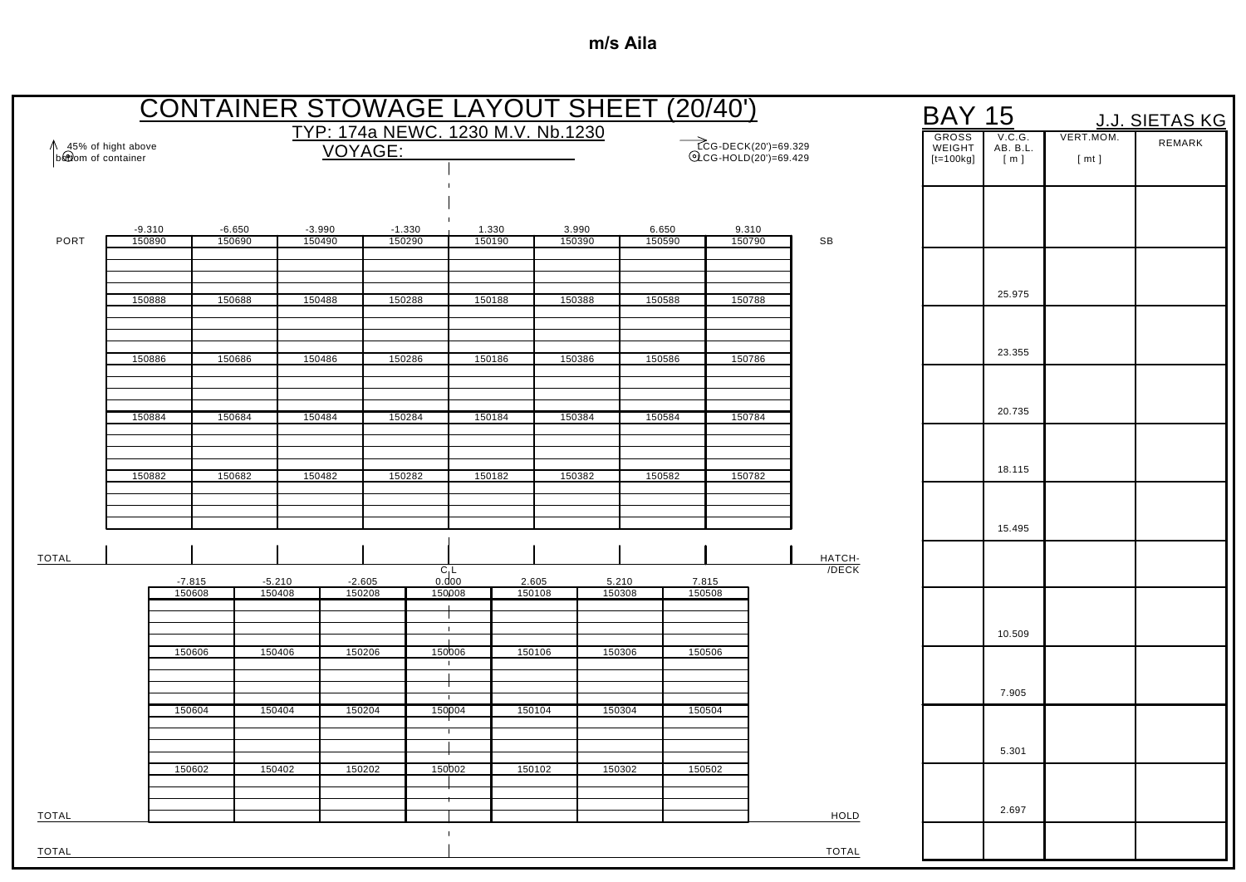|                                           |                    |                    |          |                    | <b>CONTAINER STOWAGE LAYOUT SHEET (20/40')</b> |                        |        |                 |                 |        |                                               |                    | <b>BAY 15</b>                         |                           |                   | <u>J.J. SIETAS KG</u> |
|-------------------------------------------|--------------------|--------------------|----------|--------------------|------------------------------------------------|------------------------|--------|-----------------|-----------------|--------|-----------------------------------------------|--------------------|---------------------------------------|---------------------------|-------------------|-----------------------|
| 45% of hight above<br>bottom of container |                    |                    |          | VOYAGE:            | TYP: 174a NEWC. 1230 M.V. Nb.1230              |                        |        |                 |                 |        | ECG-DECK(20')=69.329<br>©LCG-HOLD(20')=69.429 |                    | <b>GROSS</b><br>WEIGHT<br>$[t=100kg]$ | V.C.G.<br>AB. B.L.<br>[m] | VERT.MOM.<br>[mt] | REMARK                |
|                                           |                    |                    |          |                    |                                                |                        |        |                 |                 |        |                                               |                    |                                       |                           |                   |                       |
| PORT                                      | $-9.310$<br>150890 | $-6.650$<br>150690 |          | $-3.990$<br>150490 | $-1.330$<br>150290                             | 1.330<br>150190        |        | 3.990<br>150390 | 6.650<br>150590 |        | 9.310<br>150790                               | SB                 |                                       |                           |                   |                       |
|                                           | 150888             | 150688             |          | 150488             | 150288                                         | 150188                 |        | 150388          | 150588          |        | 150788                                        |                    |                                       | 25.975                    |                   |                       |
|                                           |                    |                    |          |                    |                                                |                        |        |                 |                 |        |                                               |                    |                                       | 23.355                    |                   |                       |
|                                           | 150886             | 150686             |          | 150486             | 150286                                         | 150186                 |        | 150386          | 150586          |        | 150786                                        |                    |                                       |                           |                   |                       |
|                                           | 150884             | 150684             |          | 150484             | 150284                                         | 150184                 |        | 150384          | 150584          |        | 150784                                        |                    |                                       | 20.735                    |                   |                       |
|                                           | 150882             | 150682             |          | 150482             | 150282                                         | 150182                 |        | 150382          | 150582          |        | 150782                                        |                    |                                       | 18.115                    |                   |                       |
|                                           |                    |                    |          |                    |                                                |                        |        |                 |                 |        |                                               |                    |                                       | 15.495                    |                   |                       |
| <b>TOTAL</b>                              |                    | $-7.815$           | $-5.210$ | $-2.605$           |                                                | $C_1$<br>0.000         | 2.605  | 5.210           |                 | 7.815  |                                               | HATCH-<br>$/$ DECK |                                       |                           |                   |                       |
|                                           | 150608             |                    | 150408   | 150208             |                                                | 150008<br>$\pm$        | 150108 | 150308          |                 | 150508 |                                               |                    |                                       |                           |                   |                       |
|                                           |                    | 150606             | 150406   | 150206             |                                                | 150006<br>$\mathbf{I}$ | 150106 | 150306          |                 | 150506 |                                               |                    |                                       | 10.509                    |                   |                       |
|                                           | 150604             |                    | 150404   | 150204             |                                                | $\mathbf{I}$<br>150004 | 150104 | 150304          |                 | 150504 |                                               |                    |                                       | 7.905                     |                   |                       |
|                                           |                    | 150602             | 150402   | 150202             |                                                | 150002                 | 150102 | 150302          |                 | 150502 |                                               |                    |                                       | 5.301                     |                   |                       |
| TOTAL                                     |                    |                    |          |                    |                                                |                        |        |                 |                 |        |                                               | HOLD               |                                       | 2.697                     |                   |                       |
| <b>TOTAL</b>                              |                    |                    |          |                    |                                                |                        |        |                 |                 |        |                                               | <b>TOTAL</b>       |                                       |                           |                   |                       |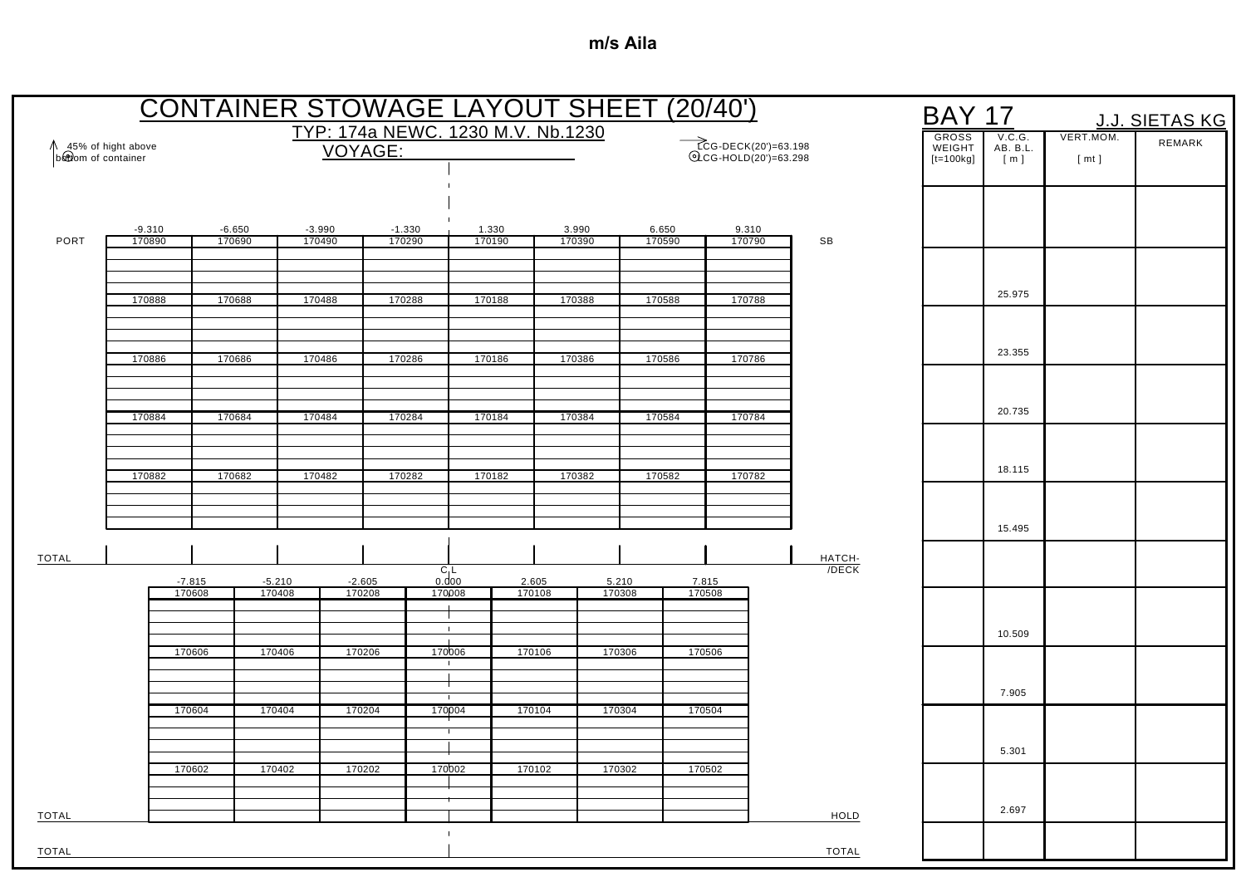|                                             |                    |                    | <b>CONTAINER STOWAGE LAYOUT SHEET (20/40')</b> |                    |                                   |                          |                 |                 |                 |                 |                                               |              | <b>BAY 17</b>                         |                           |                   | J.J. SIETAS KG |
|---------------------------------------------|--------------------|--------------------|------------------------------------------------|--------------------|-----------------------------------|--------------------------|-----------------|-----------------|-----------------|-----------------|-----------------------------------------------|--------------|---------------------------------------|---------------------------|-------------------|----------------|
| ↑ 45% of hight above<br>b&twom of container |                    |                    |                                                | VOYAGE:            | TYP: 174a NEWC. 1230 M.V. Nb.1230 |                          |                 |                 |                 |                 | ECG-DECK(20')=63.198<br>©LCG-HOLD(20')=63.298 |              | <b>GROSS</b><br>WEIGHT<br>$[t=100kg]$ | V.C.G.<br>AB. B.L.<br>[m] | VERT.MOM.<br>[mt] | REMARK         |
|                                             |                    |                    |                                                |                    |                                   |                          |                 |                 |                 |                 |                                               |              |                                       |                           |                   |                |
|                                             |                    |                    |                                                |                    |                                   |                          |                 |                 |                 |                 |                                               |              |                                       |                           |                   |                |
| PORT                                        | $-9.310$<br>170890 | $-6.650$<br>170690 |                                                | $-3.990$<br>170490 | $-1.330$<br>170290                |                          | 1.330<br>170190 | 3.990<br>170390 |                 | 6.650<br>170590 | 9.310<br>170790                               | SB           |                                       |                           |                   |                |
|                                             |                    |                    |                                                |                    |                                   |                          |                 |                 |                 |                 |                                               |              |                                       |                           |                   |                |
|                                             | 170888             | 170688             |                                                | 170488             | 170288                            |                          | 170188          | 170388          |                 | 170588          | 170788                                        |              |                                       | 25.975                    |                   |                |
|                                             | 170886             | 170686             |                                                | 170486             | 170286                            |                          | 170186          | 170386          |                 | 170586          | 170786                                        |              |                                       | 23.355                    |                   |                |
|                                             |                    |                    |                                                |                    |                                   |                          |                 |                 |                 |                 |                                               |              |                                       |                           |                   |                |
|                                             | 170884             | 170684             | 170484                                         |                    | 170284                            |                          | 170184          | 170384          |                 | 170584          | 170784                                        |              |                                       | 20.735                    |                   |                |
|                                             |                    |                    |                                                |                    |                                   |                          |                 |                 |                 |                 |                                               |              |                                       |                           |                   |                |
|                                             | 170882             | 170682             |                                                | 170482             | 170282                            |                          | 170182          | 170382          |                 | 170582          | 170782                                        |              |                                       | 18.115                    |                   |                |
|                                             |                    |                    |                                                |                    |                                   |                          |                 |                 |                 |                 |                                               |              |                                       | 15.495                    |                   |                |
| <b>TOTAL</b>                                |                    |                    |                                                |                    |                                   |                          |                 |                 |                 |                 |                                               | HATCH-       |                                       |                           |                   |                |
|                                             | $-7.815$<br>170608 |                    | $-5.210$<br>170408                             | $-2.605$<br>170208 |                                   | $C_1$<br>0.000<br>170008 | 2.605<br>170108 |                 | 5.210<br>170308 | 7.815<br>170508 |                                               | $/$ DECK     |                                       |                           |                   |                |
|                                             |                    |                    |                                                |                    |                                   | $\mathbf{1}$             |                 |                 |                 |                 |                                               |              |                                       |                           |                   |                |
|                                             | 170606             |                    | 170406                                         | 170206             |                                   | 170006<br>$\mathbf{I}$   | 170106          |                 | 170306          | 170506          |                                               |              |                                       | 10.509                    |                   |                |
|                                             |                    |                    |                                                |                    |                                   | $\mathbf{I}$             |                 |                 |                 |                 |                                               |              |                                       | 7.905                     |                   |                |
|                                             | 170604             |                    | 170404                                         | 170204             |                                   | 170004                   | 170104          |                 | 170304          | 170504          |                                               |              |                                       |                           |                   |                |
|                                             |                    |                    |                                                |                    |                                   |                          |                 |                 |                 |                 |                                               |              |                                       | 5.301                     |                   |                |
|                                             | 170602             |                    | 170402                                         | 170202             |                                   | 170002                   | 170102          |                 | 170302          | 170502          |                                               |              |                                       |                           |                   |                |
| <b>TOTAL</b>                                |                    |                    |                                                |                    |                                   |                          |                 |                 |                 |                 |                                               | HOLD         |                                       | 2.697                     |                   |                |
| TOTAL                                       |                    |                    |                                                |                    |                                   |                          |                 |                 |                 |                 |                                               | <b>TOTAL</b> |                                       |                           |                   |                |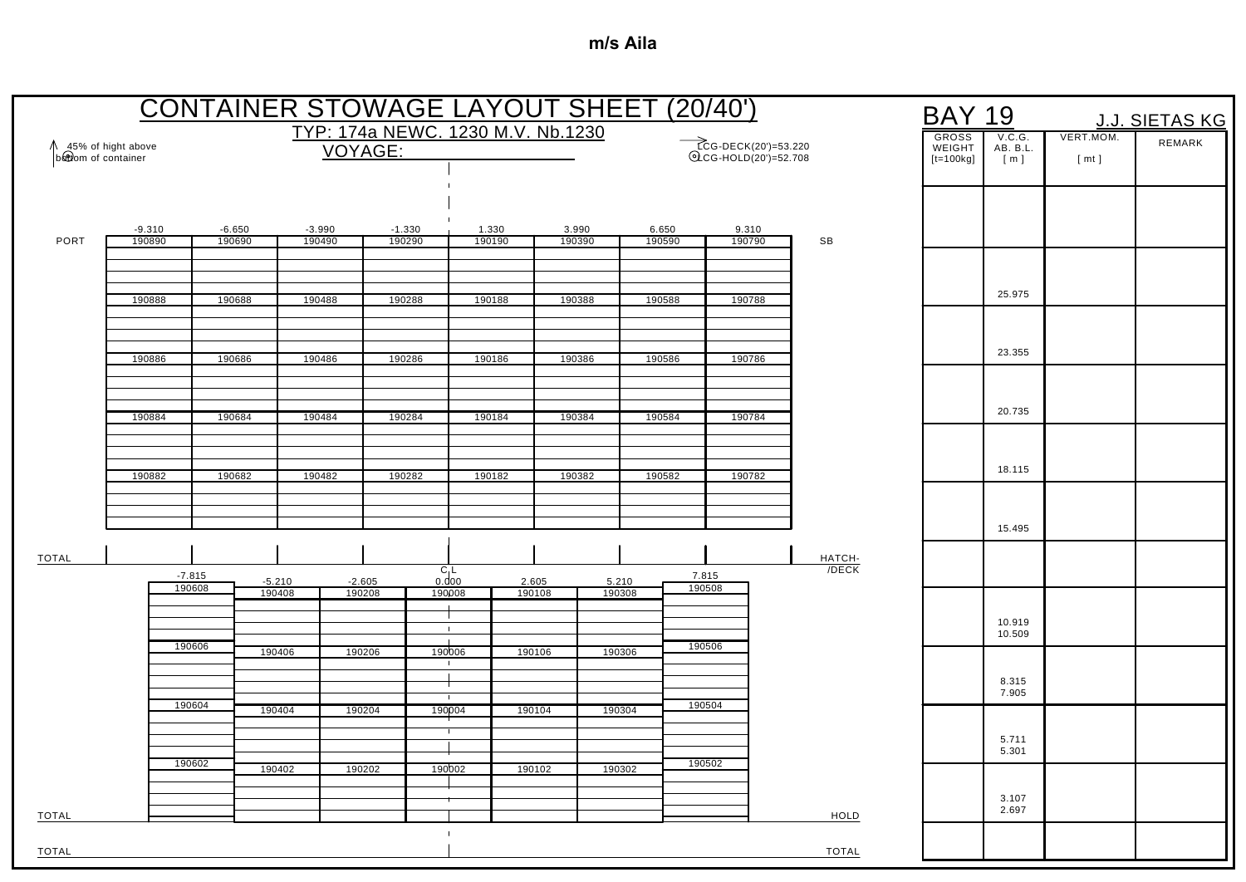|                                           |                    |                    |                    |                    |                    |                          |                 | <b>CONTAINER STOWAGE LAYOUT SHEET (20/40')</b> |                 |                 |                                              |                    | BAY                                   | 19                        |                   | J.J. SIETAS KG |
|-------------------------------------------|--------------------|--------------------|--------------------|--------------------|--------------------|--------------------------|-----------------|------------------------------------------------|-----------------|-----------------|----------------------------------------------|--------------------|---------------------------------------|---------------------------|-------------------|----------------|
| 45% of hight above<br>bottom of container |                    |                    |                    |                    | VOYAGE:            |                          |                 | TYP: 174a NEWC. 1230 M.V. Nb.1230              |                 |                 | TCG-DECK(20')=53.220<br>QCG-HOLD(20')=52.708 |                    | <b>GROSS</b><br>WEIGHT<br>$[t=100kg]$ | V.C.G.<br>AB. B.L.<br>[m] | VERT.MOM.<br>[mt] | REMARK         |
|                                           |                    |                    |                    |                    |                    |                          |                 |                                                |                 |                 |                                              |                    |                                       |                           |                   |                |
| PORT                                      | $-9.310$<br>190890 | $-6.650$<br>190690 |                    | $-3.990$<br>190490 | $-1.330$<br>190290 |                          | 1.330<br>190190 | 3.990<br>190390                                |                 | 6.650<br>190590 | 9.310<br>190790                              | SB                 |                                       |                           |                   |                |
|                                           | 190888             | 190688             |                    | 190488             | 190288             |                          | 190188          | 190388                                         |                 | 190588          | 190788                                       |                    |                                       | 25.975                    |                   |                |
|                                           |                    |                    |                    |                    |                    |                          |                 |                                                |                 |                 |                                              |                    |                                       |                           |                   |                |
|                                           | 190886             | 190686             |                    | 190486             | 190286             |                          | 190186          | 190386                                         |                 | 190586          | 190786                                       |                    |                                       | 23.355                    |                   |                |
|                                           | 190884             | 190684             |                    | 190484             | 190284             |                          | 190184          | 190384                                         |                 | 190584          | 190784                                       |                    |                                       | 20.735                    |                   |                |
|                                           |                    |                    |                    |                    |                    |                          |                 |                                                |                 |                 |                                              |                    |                                       | 18.115                    |                   |                |
|                                           | 190882             | 190682             |                    | 190482             | 190282             |                          | 190182          | 190382                                         |                 | 190582          | 190782                                       |                    |                                       |                           |                   |                |
|                                           |                    |                    |                    |                    |                    |                          |                 |                                                |                 |                 |                                              |                    |                                       | 15.495                    |                   |                |
| <b>TOTAL</b>                              | $-7.815$<br>190608 |                    | $-5.210$<br>190408 |                    | $-2.605$<br>190208 | $C_1$<br>0.000<br>190008 | 2.605<br>190108 |                                                | 5.210<br>190308 | 7.815<br>190508 |                                              | HATCH-<br>$/$ DECK |                                       |                           |                   |                |
|                                           |                    |                    |                    |                    |                    | $\pm$                    |                 |                                                |                 |                 |                                              |                    |                                       | 10.919<br>10.509          |                   |                |
|                                           | 190606             |                    | 190406             |                    | 190206             | 190006                   | 190106          |                                                | 190306          | 190506          |                                              |                    |                                       | 8.315                     |                   |                |
|                                           | 190604             |                    | 190404             |                    | 190204             | $\mathbf{I}$<br>190004   | 190104          |                                                | 190304          | 190504          |                                              |                    |                                       | 7.905                     |                   |                |
|                                           | 190602             |                    | 190402             |                    | 190202             | 190002                   | 190102          |                                                | 190302          | 190502          |                                              |                    |                                       | 5.711<br>5.301            |                   |                |
| TOTAL                                     |                    |                    |                    |                    |                    |                          |                 |                                                |                 |                 |                                              | HOLD               |                                       | 3.107<br>2.697            |                   |                |
| <b>TOTAL</b>                              |                    |                    |                    |                    |                    | $\mathbf{I}$             |                 |                                                |                 |                 |                                              | <b>TOTAL</b>       |                                       |                           |                   |                |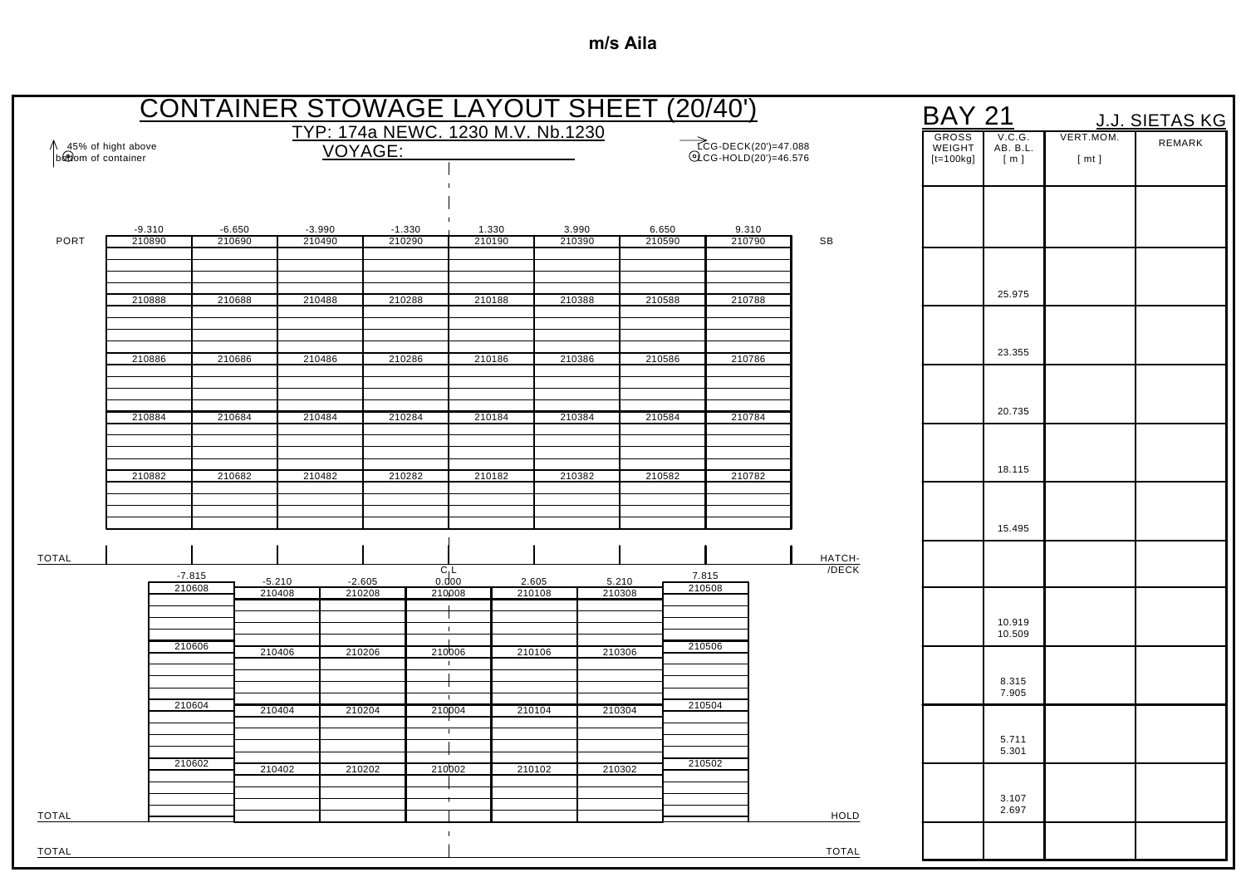|                                           |                    |                    |                    |                    |                    |                              |                 | <b>CONTAINER STOWAGE LAYOUT SHEET (20/40')</b> |                 |                 |                                               |                    | <b>BAY 21</b>                         |                           |                   | J.J. SIETAS KG |
|-------------------------------------------|--------------------|--------------------|--------------------|--------------------|--------------------|------------------------------|-----------------|------------------------------------------------|-----------------|-----------------|-----------------------------------------------|--------------------|---------------------------------------|---------------------------|-------------------|----------------|
| 45% of hight above<br>bottom of container |                    |                    |                    |                    | <b>VOYAGE:</b>     |                              |                 | TYP: 174a NEWC. 1230 M.V. Nb.1230              |                 |                 | ECG-DECK(20')=47.088<br>©LCG-HOLD(20')=46.576 |                    | <b>GROSS</b><br>WEIGHT<br>$[t=100kg]$ | V.C.G.<br>AB. B.L.<br>[m] | VERT.MOM.<br>[mt] | REMARK         |
|                                           |                    |                    |                    |                    |                    |                              |                 |                                                |                 |                 |                                               |                    |                                       |                           |                   |                |
| PORT                                      | $-9.310$<br>210890 | $-6.650$<br>210690 |                    | $-3.990$<br>210490 | $-1.330$<br>210290 |                              | 1.330<br>210190 | 3.990<br>210390                                |                 | 6.650<br>210590 | 9.310<br>210790                               | SB                 |                                       |                           |                   |                |
|                                           | 210888             | 210688             |                    | 210488             | 210288             |                              | 210188          | 210388                                         |                 | 210588          | 210788                                        |                    |                                       | 25.975                    |                   |                |
|                                           | 210886             | 210686             |                    | 210486             | 210286             |                              | 210186          | 210386                                         |                 | 210586          | 210786                                        |                    |                                       | 23.355                    |                   |                |
|                                           |                    |                    |                    |                    |                    |                              |                 |                                                |                 |                 |                                               |                    |                                       | 20.735                    |                   |                |
|                                           | 210884             | 210684             |                    | 210484             | 210284             |                              | 210184          | 210384                                         |                 | 210584          | 210784                                        |                    |                                       |                           |                   |                |
|                                           | 210882             | 210682             |                    | 210482             | 210282             |                              | 210182          | 210382                                         |                 | 210582          | 210782                                        |                    |                                       | 18.115                    |                   |                |
|                                           |                    |                    |                    |                    |                    |                              |                 |                                                |                 |                 |                                               |                    |                                       | 15.495                    |                   |                |
| <b>TOTAL</b>                              | $-7.815$<br>210608 |                    | $-5.210$<br>210408 |                    | $-2.605$<br>210208 | $C_1$<br>0.000<br>210008     | 2.605<br>210108 |                                                | 5.210<br>210308 | 7.815<br>210508 |                                               | HATCH-<br>$/$ DECK |                                       |                           |                   |                |
|                                           | 210606             |                    | 210406             |                    | 210206             | $\mathbf{1}$<br>210006       | 210106          |                                                | 210306          | 210506          |                                               |                    |                                       | 10.919<br>10.509          |                   |                |
|                                           |                    |                    |                    |                    |                    | $\mathbf{I}$<br>$\mathbf{I}$ |                 |                                                |                 |                 |                                               |                    |                                       | 8.315<br>7.905            |                   |                |
|                                           | 210604             |                    | 210404             |                    | 210204             | 210004                       | 210104          |                                                | 210304          | 210504          |                                               |                    |                                       | 5.711<br>5.301            |                   |                |
|                                           | 210602             |                    | 210402             |                    | 210202             | 210002                       | 210102          |                                                | 210302          | 210502          |                                               |                    |                                       | 3.107                     |                   |                |
| TOTAL                                     |                    |                    |                    |                    |                    |                              |                 |                                                |                 |                 |                                               | HOLD               |                                       | 2.697                     |                   |                |
| TOTAL                                     |                    |                    |                    |                    |                    |                              |                 |                                                |                 |                 |                                               | <b>TOTAL</b>       |                                       |                           |                   |                |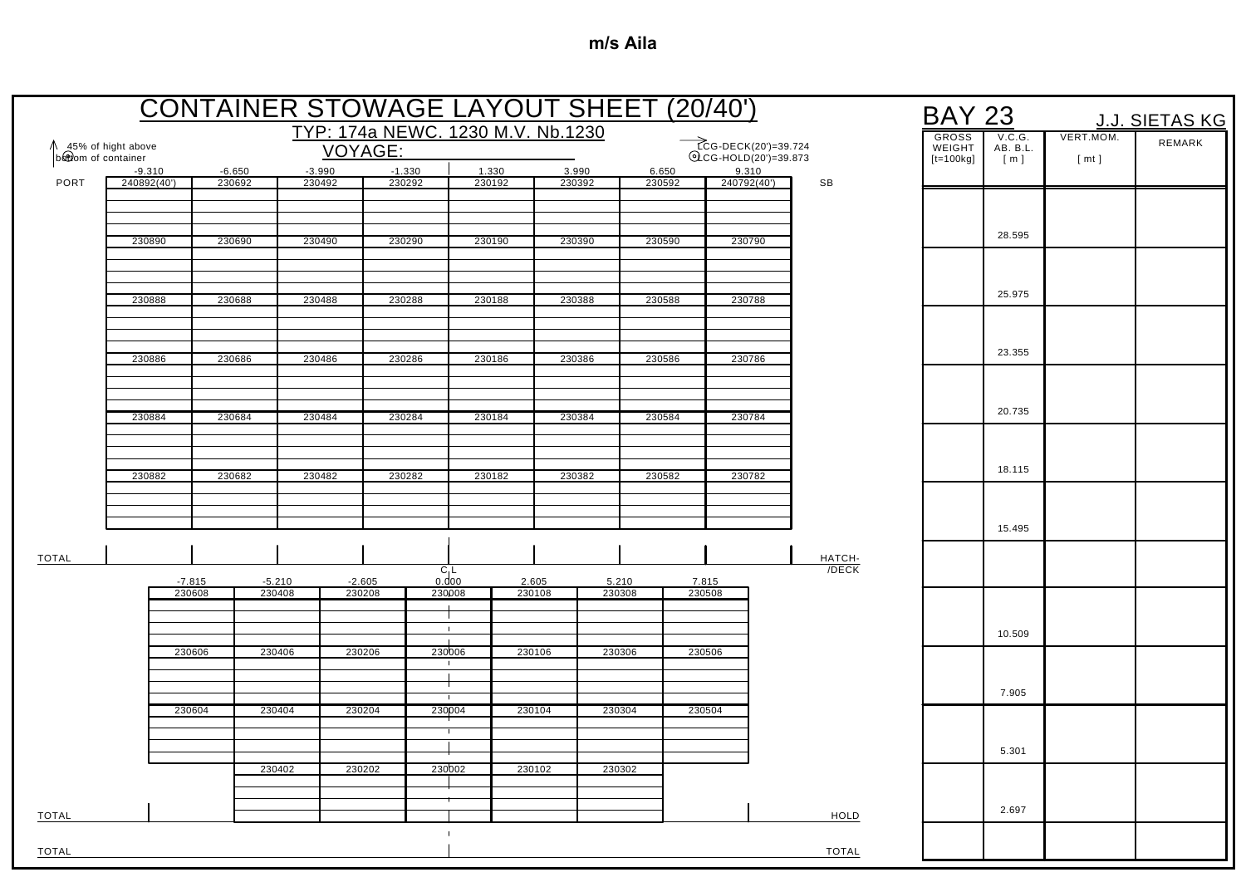|                      |                    |          |                    |                    | <b>CONTAINER STOWAGE LAYOUT SHEET (20/40')</b> |                                |                 |        |        |                 |                                              |    |                   | <b>BAY 23</b>          |                    |           | <b>J.J. SIETAS KG</b> |
|----------------------|--------------------|----------|--------------------|--------------------|------------------------------------------------|--------------------------------|-----------------|--------|--------|-----------------|----------------------------------------------|----|-------------------|------------------------|--------------------|-----------|-----------------------|
| ↑ 45% of hight above |                    |          |                    | VOYAGE:            | TYP: 174a NEWC. 1230 M.V. Nb.1230              |                                |                 |        |        |                 | ECG-DECK(20')=39.724<br>QCG-HOLD(20')=39.873 |    |                   | <b>GROSS</b><br>WEIGHT | V.C.G.<br>AB. B.L. | VERT.MOM. | REMARK                |
| bottom of container  | $-9.310$           | $-6.650$ | $-3.990$           |                    | $-1.330$                                       | 1.330                          |                 | 3.990  |        | 6.650           | 9.310                                        |    |                   | $[t=100kg]$            | [m]                | [mt]      |                       |
| PORT                 | 240892(40')        | 230692   | 230492             |                    | 230292                                         |                                | 230192          | 230392 |        | 230592          | 240792(40')                                  | SB |                   |                        |                    |           |                       |
|                      |                    |          |                    |                    |                                                |                                |                 |        |        |                 |                                              |    |                   |                        |                    |           |                       |
|                      | 230890             | 230690   |                    | 230490             | 230290                                         |                                | 230190          | 230390 |        | 230590          | 230790                                       |    |                   |                        | 28.595             |           |                       |
|                      |                    |          |                    |                    |                                                |                                |                 |        |        |                 |                                              |    |                   |                        |                    |           |                       |
|                      | 230888             | 230688   | 230488             |                    | 230288                                         |                                | 230188          | 230388 |        | 230588          | 230788                                       |    |                   |                        | 25.975             |           |                       |
|                      |                    |          |                    |                    |                                                |                                |                 |        |        |                 |                                              |    |                   |                        |                    |           |                       |
|                      | 230886             | 230686   | 230486             |                    | 230286                                         |                                | 230186          | 230386 |        | 230586          | 230786                                       |    |                   |                        | 23.355             |           |                       |
|                      |                    |          |                    |                    |                                                |                                |                 |        |        |                 |                                              |    |                   |                        |                    |           |                       |
|                      |                    |          |                    |                    |                                                |                                |                 |        |        |                 |                                              |    |                   |                        | 20.735             |           |                       |
|                      | 230884             | 230684   | 230484             |                    | 230284                                         |                                | 230184          | 230384 |        | 230584          | 230784                                       |    |                   |                        |                    |           |                       |
|                      |                    |          |                    |                    |                                                |                                |                 |        |        |                 |                                              |    |                   |                        |                    |           |                       |
|                      | 230882             | 230682   |                    | 230482             | 230282                                         |                                | 230182          | 230382 |        | 230582          | 230782                                       |    |                   |                        | 18.115             |           |                       |
|                      |                    |          |                    |                    |                                                |                                |                 |        |        |                 |                                              |    |                   |                        |                    |           |                       |
|                      |                    |          |                    |                    |                                                |                                |                 |        |        |                 |                                              |    |                   |                        | 15.495             |           |                       |
| <b>TOTAL</b>         |                    |          |                    |                    |                                                |                                |                 |        |        |                 |                                              |    | HATCH-<br>$/DECK$ |                        |                    |           |                       |
|                      | $-7.815$<br>230608 |          | $-5.210$<br>230408 | $-2.605$<br>230208 |                                                | $C_1$<br>0.000<br>230008       | 2.605<br>230108 | 230308 | 5.210  | 7.815<br>230508 |                                              |    |                   |                        |                    |           |                       |
|                      |                    |          |                    |                    |                                                |                                |                 |        |        |                 |                                              |    |                   |                        |                    |           |                       |
|                      |                    |          |                    |                    |                                                | $\mathbf{1}$<br>$\blacksquare$ |                 |        |        |                 |                                              |    |                   |                        | 10.509             |           |                       |
|                      | 230606             |          | 230406             | 230206             |                                                | 230006<br>$\mathbf{I}$         | 230106          |        | 230306 | 230506          |                                              |    |                   |                        |                    |           |                       |
|                      |                    |          |                    |                    |                                                |                                |                 |        |        |                 |                                              |    |                   |                        | 7.905              |           |                       |
|                      | 230604             |          | 230404             | 230204             |                                                | 230004                         | 230104          |        | 230304 | 230504          |                                              |    |                   |                        |                    |           |                       |
|                      |                    |          |                    |                    |                                                |                                |                 |        |        |                 |                                              |    |                   |                        |                    |           |                       |
|                      |                    |          | 230402             | 230202             |                                                | 230002                         | 230102          |        | 230302 |                 |                                              |    |                   |                        | 5.301              |           |                       |
|                      |                    |          |                    |                    |                                                |                                |                 |        |        |                 |                                              |    |                   |                        |                    |           |                       |
| <b>TOTAL</b>         |                    |          |                    |                    |                                                |                                |                 |        |        |                 |                                              |    | HOLD              |                        | 2.697              |           |                       |
| <b>TOTAL</b>         |                    |          |                    |                    |                                                |                                |                 |        |        |                 |                                              |    | <b>TOTAL</b>      |                        |                    |           |                       |
|                      |                    |          |                    |                    |                                                |                                |                 |        |        |                 |                                              |    |                   |                        |                    |           |                       |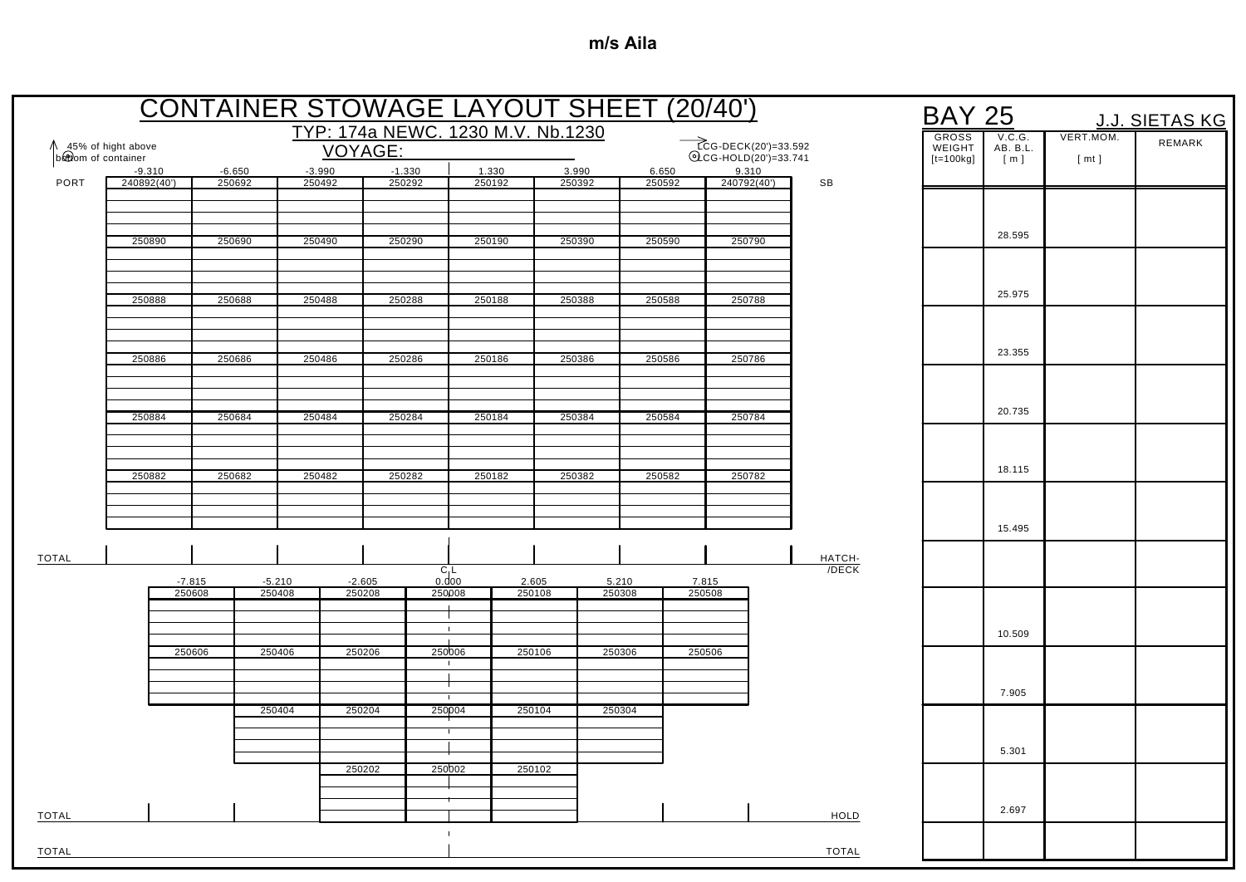|                      |                    |          |                    |                    | <b>CONTAINER STOWAGE LAYOUT SHEET (20/40')</b> |        |                 |                 |        |                                                        |              | <b>BAY 25</b>          |                    |           | J.J. SIETAS KG |
|----------------------|--------------------|----------|--------------------|--------------------|------------------------------------------------|--------|-----------------|-----------------|--------|--------------------------------------------------------|--------------|------------------------|--------------------|-----------|----------------|
| ↑ 45% of hight above |                    |          |                    |                    | TYP: 174a NEWC. 1230 M.V. Nb.1230              |        |                 |                 |        |                                                        |              | <b>GROSS</b><br>WEIGHT | V.C.G.<br>AB. B.L. | VERT.MOM. | REMARK         |
| bottom of container  | $-9.310$           | $-6.650$ | $-3.990$           | VOYAGE:            | $-1.330$                                       | 1.330  | 3.990           |                 | 6.650  | ECG-DECK(20')=33.592<br>©LCG-HOLD(20')=33.741<br>9.310 |              | $[t=100kg]$            | [m]                | [mt]      |                |
| PORT                 | 240892(40')        | 250692   | 250492             |                    | 250292                                         | 250192 | 250392          |                 | 250592 | 240792(40')                                            | SB           |                        |                    |           |                |
|                      |                    |          |                    |                    |                                                |        |                 |                 |        |                                                        |              |                        |                    |           |                |
|                      | 250890             | 250690   | 250490             |                    | 250290                                         | 250190 | 250390          |                 | 250590 | 250790                                                 |              |                        | 28.595             |           |                |
|                      |                    |          |                    |                    |                                                |        |                 |                 |        |                                                        |              |                        |                    |           |                |
|                      |                    |          |                    |                    |                                                |        |                 |                 |        |                                                        |              |                        | 25.975             |           |                |
|                      | 250888             | 250688   | 250488             |                    | 250288                                         | 250188 | 250388          |                 | 250588 | 250788                                                 |              |                        |                    |           |                |
|                      |                    |          |                    |                    |                                                |        |                 |                 |        |                                                        |              |                        |                    |           |                |
|                      | 250886             | 250686   | 250486             |                    | 250286                                         | 250186 | 250386          |                 | 250586 | 250786                                                 |              |                        | 23.355             |           |                |
|                      |                    |          |                    |                    |                                                |        |                 |                 |        |                                                        |              |                        |                    |           |                |
|                      | 250884             | 250684   | 250484             |                    | 250284                                         | 250184 | 250384          |                 | 250584 | 250784                                                 |              |                        | 20.735             |           |                |
|                      |                    |          |                    |                    |                                                |        |                 |                 |        |                                                        |              |                        |                    |           |                |
|                      |                    |          |                    |                    |                                                |        |                 |                 |        |                                                        |              |                        |                    |           |                |
|                      | 250882             | 250682   | 250482             |                    | 250282                                         | 250182 | 250382          |                 | 250582 | 250782                                                 |              |                        | 18.115             |           |                |
|                      |                    |          |                    |                    |                                                |        |                 |                 |        |                                                        |              |                        |                    |           |                |
|                      |                    |          |                    |                    |                                                |        |                 |                 |        |                                                        |              |                        | 15.495             |           |                |
| <b>TOTAL</b>         |                    |          |                    |                    |                                                |        |                 |                 |        |                                                        | HATCH-       |                        |                    |           |                |
|                      | $-7.815$<br>250608 |          | $-5.210$<br>250408 | $-2.605$<br>250208 | $C_1L$<br>0.000<br>250008                      |        | 2.605<br>250108 | 5.210<br>250308 | 250508 | 7.815                                                  | $/DECK$      |                        |                    |           |                |
|                      |                    |          |                    |                    |                                                |        |                 |                 |        |                                                        |              |                        |                    |           |                |
|                      |                    |          |                    |                    | $\mathbf{L}$<br>$\blacksquare$                 |        |                 |                 |        |                                                        |              |                        | 10.509             |           |                |
|                      | 250606             |          | 250406             | 250206             | 250006<br>$\mathbf{I}$                         |        | 250106          | 250306          | 250506 |                                                        |              |                        |                    |           |                |
|                      |                    |          |                    |                    |                                                |        |                 |                 |        |                                                        |              |                        |                    |           |                |
|                      |                    |          | 250404             | 250204             | 250004                                         |        | 250104          | 250304          |        |                                                        |              |                        | 7.905              |           |                |
|                      |                    |          |                    |                    |                                                |        |                 |                 |        |                                                        |              |                        |                    |           |                |
|                      |                    |          |                    |                    |                                                |        |                 |                 |        |                                                        |              |                        | 5.301              |           |                |
|                      |                    |          |                    | 250202             | 250002                                         |        | 250102          |                 |        |                                                        |              |                        |                    |           |                |
|                      |                    |          |                    |                    |                                                |        |                 |                 |        |                                                        |              |                        | 2.697              |           |                |
| <b>TOTAL</b>         |                    |          |                    |                    |                                                |        |                 |                 |        |                                                        | HOLD         |                        |                    |           |                |
| <b>TOTAL</b>         |                    |          |                    |                    |                                                |        |                 |                 |        |                                                        | <b>TOTAL</b> |                        |                    |           |                |
|                      |                    |          |                    |                    |                                                |        |                 |                 |        |                                                        |              |                        |                    |           |                |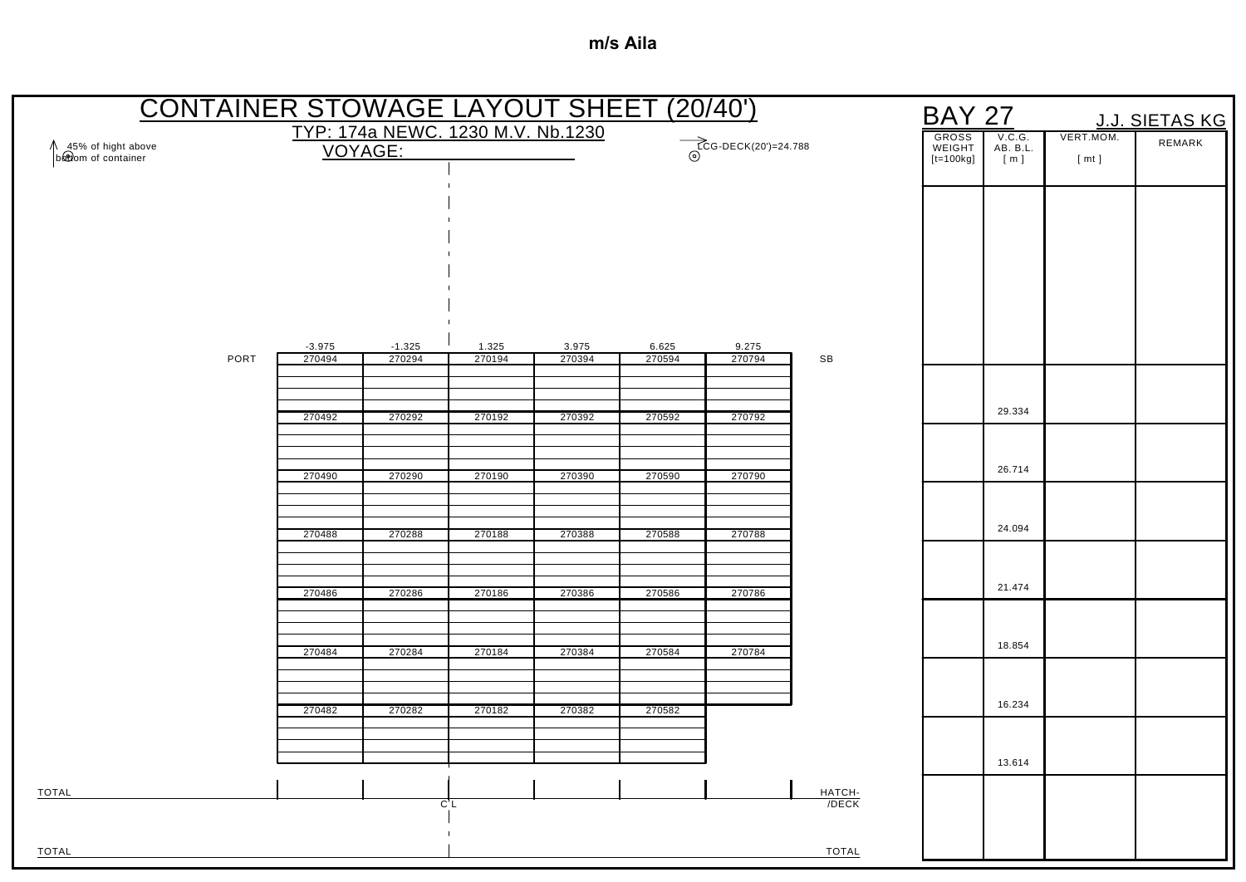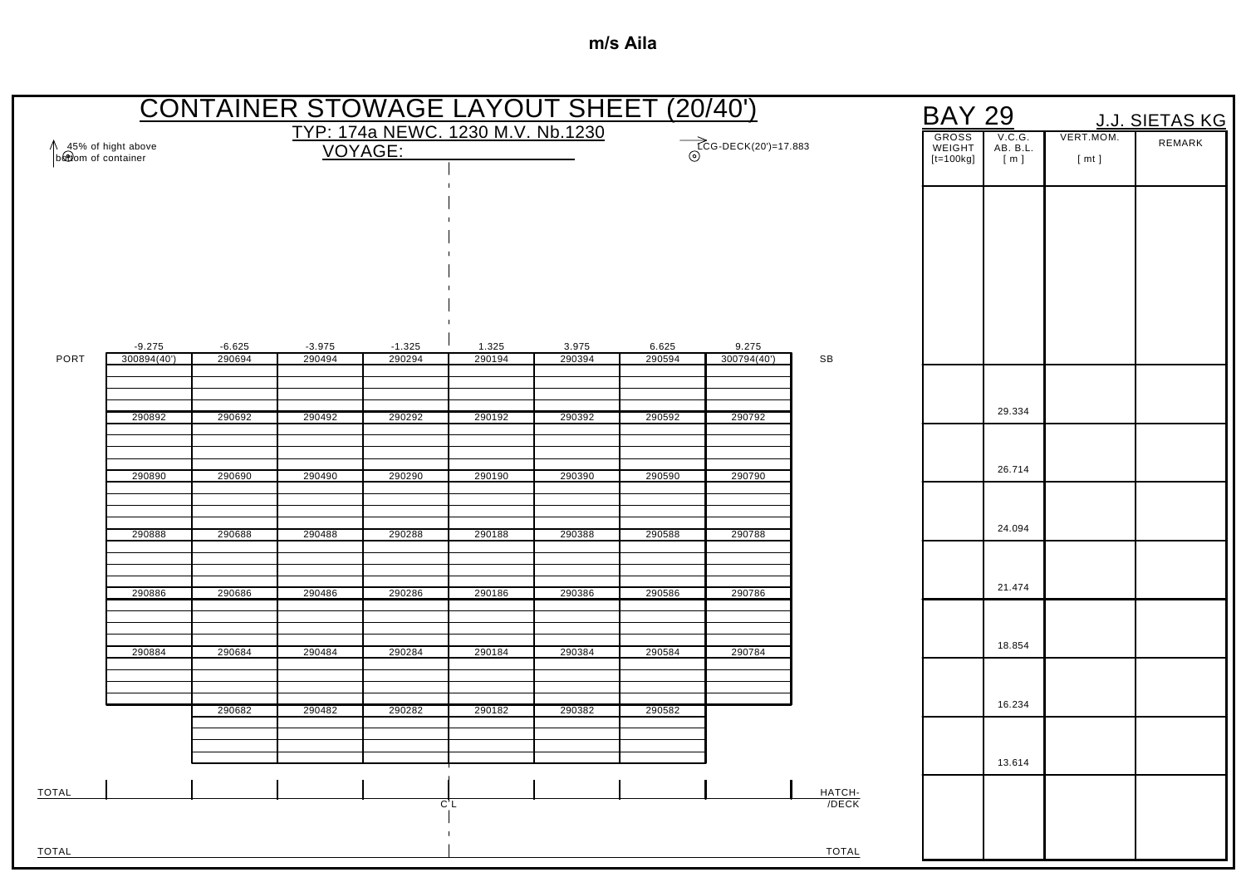| <b>CONTAINER STOWAGE LAYOUT SHEET (20/40')</b><br><b>BAY 29</b><br>J.J. SIETAS KG |             |          |          |                                                             |        |        |        |             |                 |                           |                   |        |  |
|-----------------------------------------------------------------------------------|-------------|----------|----------|-------------------------------------------------------------|--------|--------|--------|-------------|-----------------|---------------------------|-------------------|--------|--|
| ↑ 45% of hight above<br>b&tiom of container<br>VOYAGE:                            |             |          |          | TYP: 174a NEWC. 1230 M.V. Nb.1230<br>$TCG-DECK(20')=17.883$ |        |        |        |             |                 | V.C.G.<br>AB. B.L.<br>[m] | VERT.MOM.<br>[mt] | REMARK |  |
|                                                                                   |             |          |          |                                                             |        |        |        |             |                 |                           |                   |        |  |
|                                                                                   |             |          |          |                                                             |        |        |        |             |                 |                           |                   |        |  |
|                                                                                   |             |          |          |                                                             |        |        |        |             |                 |                           |                   |        |  |
|                                                                                   |             |          |          |                                                             |        |        |        |             |                 |                           |                   |        |  |
|                                                                                   |             |          |          |                                                             |        |        |        |             |                 |                           |                   |        |  |
|                                                                                   | $-9.275$    | $-6.625$ | $-3.975$ | $-1.325$                                                    | 1.325  | 3.975  | 6.625  | 9.275       |                 |                           |                   |        |  |
| PORT                                                                              | 300894(40') | 290694   | 290494   | 290294                                                      | 290194 | 290394 | 290594 | 300794(40') | SB              |                           |                   |        |  |
|                                                                                   |             |          |          |                                                             |        |        |        |             |                 |                           | 29.334            |        |  |
|                                                                                   | 290892      | 290692   | 290492   | 290292                                                      | 290192 | 290392 | 290592 | 290792      |                 |                           |                   |        |  |
|                                                                                   |             |          |          |                                                             |        |        |        |             |                 |                           | 26.714            |        |  |
|                                                                                   | 290890      | 290690   | 290490   | 290290                                                      | 290190 | 290390 | 290590 | 290790      |                 |                           |                   |        |  |
|                                                                                   | 290888      | 290688   | 290488   | 290288                                                      | 290188 | 290388 | 290588 | 290788      |                 |                           | 24.094            |        |  |
|                                                                                   |             |          |          |                                                             |        |        |        |             |                 |                           |                   |        |  |
|                                                                                   | 290886      | 290686   | 290486   | 290286                                                      | 290186 | 290386 | 290586 | 290786      |                 |                           | 21.474            |        |  |
|                                                                                   |             |          |          |                                                             |        |        |        |             |                 |                           |                   |        |  |
|                                                                                   | 290884      | 290684   | 290484   | 290284                                                      | 290184 | 290384 | 290584 | 290784      |                 |                           | 18.854            |        |  |
|                                                                                   |             |          |          |                                                             |        |        |        |             |                 |                           |                   |        |  |
|                                                                                   |             | 290682   | 290482   | 290282                                                      | 290182 | 290382 | 290582 |             |                 |                           | 16.234            |        |  |
|                                                                                   |             |          |          |                                                             |        |        |        |             |                 |                           |                   |        |  |
|                                                                                   |             |          |          |                                                             |        |        |        |             |                 |                           | 13.614            |        |  |
| <b>TOTAL</b>                                                                      |             |          |          | C'L                                                         |        |        |        |             | HATCH-<br>/DECK |                           |                   |        |  |
|                                                                                   |             |          |          |                                                             |        |        |        |             |                 |                           |                   |        |  |
| TOTAL                                                                             |             |          |          |                                                             |        |        |        |             | <b>TOTAL</b>    |                           |                   |        |  |